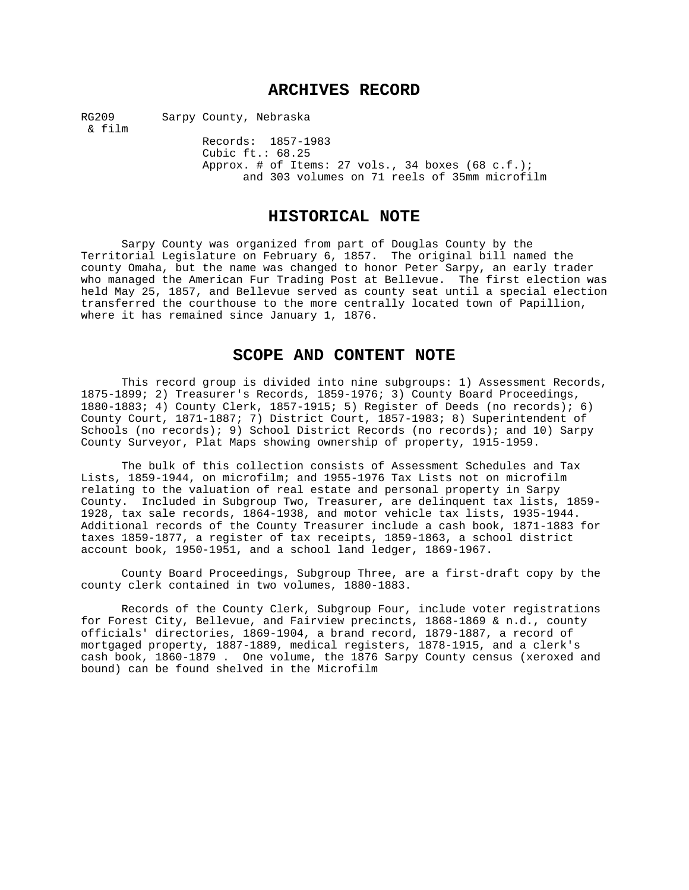# **ARCHIVES RECORD**

RG209 Sarpy County, Nebraska & film

Records: 1857-1983 Cubic ft.: 68.25 Approx. # of Items: 27 vols., 34 boxes (68 c.f.); and 303 volumes on 71 reels of 35mm microfilm

# **HISTORICAL NOTE**

Sarpy County was organized from part of Douglas County by the Territorial Legislature on February 6, 1857. The original bill named the county Omaha, but the name was changed to honor Peter Sarpy, an early trader who managed the American Fur Trading Post at Bellevue. The first election was held May 25, 1857, and Bellevue served as county seat until a special election transferred the courthouse to the more centrally located town of Papillion, where it has remained since January 1, 1876.

# **SCOPE AND CONTENT NOTE**

This record group is divided into nine subgroups: 1) Assessment Records, 1875-1899; 2) Treasurer's Records, 1859-1976; 3) County Board Proceedings, 1880-1883; 4) County Clerk, 1857-1915; 5) Register of Deeds (no records); 6) County Court, 1871-1887; 7) District Court, 1857-1983; 8) Superintendent of Schools (no records); 9) School District Records (no records); and 10) Sarpy County Surveyor, Plat Maps showing ownership of property, 1915-1959.

The bulk of this collection consists of Assessment Schedules and Tax Lists, 1859-1944, on microfilm; and 1955-1976 Tax Lists not on microfilm relating to the valuation of real estate and personal property in Sarpy County. Included in Subgroup Two, Treasurer, are delinquent tax lists, 1859- 1928, tax sale records, 1864-1938, and motor vehicle tax lists, 1935-1944. Additional records of the County Treasurer include a cash book, 1871-1883 for taxes 1859-1877, a register of tax receipts, 1859-1863, a school district account book, 1950-1951, and a school land ledger, 1869-1967.

County Board Proceedings, Subgroup Three, are a first-draft copy by the county clerk contained in two volumes, 1880-1883.

Records of the County Clerk, Subgroup Four, include voter registrations for Forest City, Bellevue, and Fairview precincts, 1868-1869 & n.d., county officials' directories, 1869-1904, a brand record, 1879-1887, a record of mortgaged property, 1887-1889, medical registers, 1878-1915, and a clerk's cash book, 1860-1879 . One volume, the 1876 Sarpy County census (xeroxed and bound) can be found shelved in the Microfilm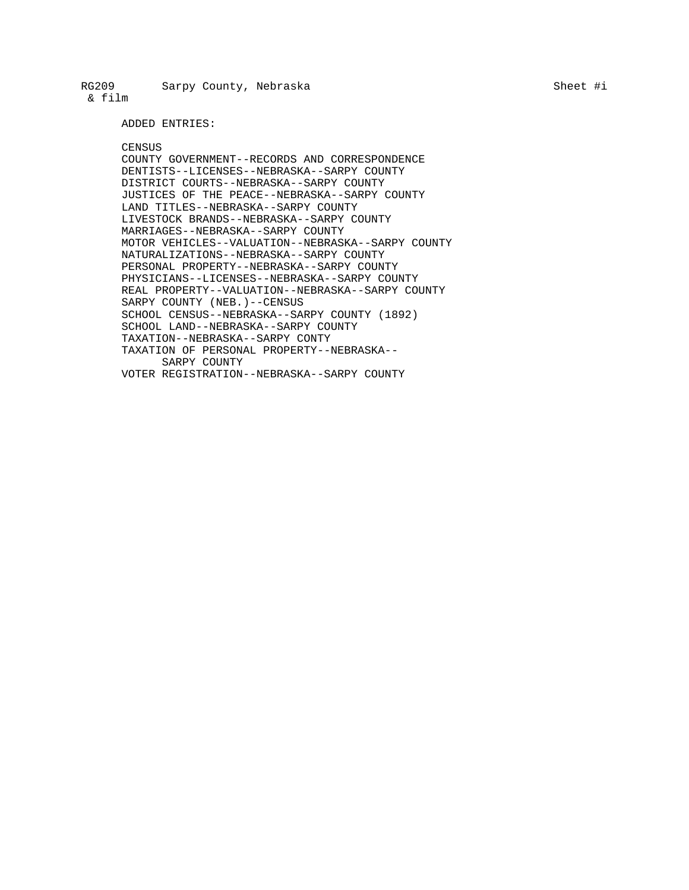ADDED ENTRIES:

#### CENSUS

COUNTY GOVERNMENT--RECORDS AND CORRESPONDENCE DENTISTS--LICENSES--NEBRASKA--SARPY COUNTY DISTRICT COURTS--NEBRASKA--SARPY COUNTY JUSTICES OF THE PEACE--NEBRASKA--SARPY COUNTY LAND TITLES--NEBRASKA--SARPY COUNTY LIVESTOCK BRANDS--NEBRASKA--SARPY COUNTY MARRIAGES--NEBRASKA--SARPY COUNTY MOTOR VEHICLES--VALUATION--NEBRASKA--SARPY COUNTY NATURALIZATIONS--NEBRASKA--SARPY COUNTY PERSONAL PROPERTY--NEBRASKA--SARPY COUNTY PHYSICIANS--LICENSES--NEBRASKA--SARPY COUNTY REAL PROPERTY--VALUATION--NEBRASKA--SARPY COUNTY SARPY COUNTY (NEB.)--CENSUS SCHOOL CENSUS--NEBRASKA--SARPY COUNTY (1892) SCHOOL LAND--NEBRASKA--SARPY COUNTY TAXATION--NEBRASKA--SARPY CONTY TAXATION OF PERSONAL PROPERTY--NEBRASKA-- SARPY COUNTY VOTER REGISTRATION--NEBRASKA--SARPY COUNTY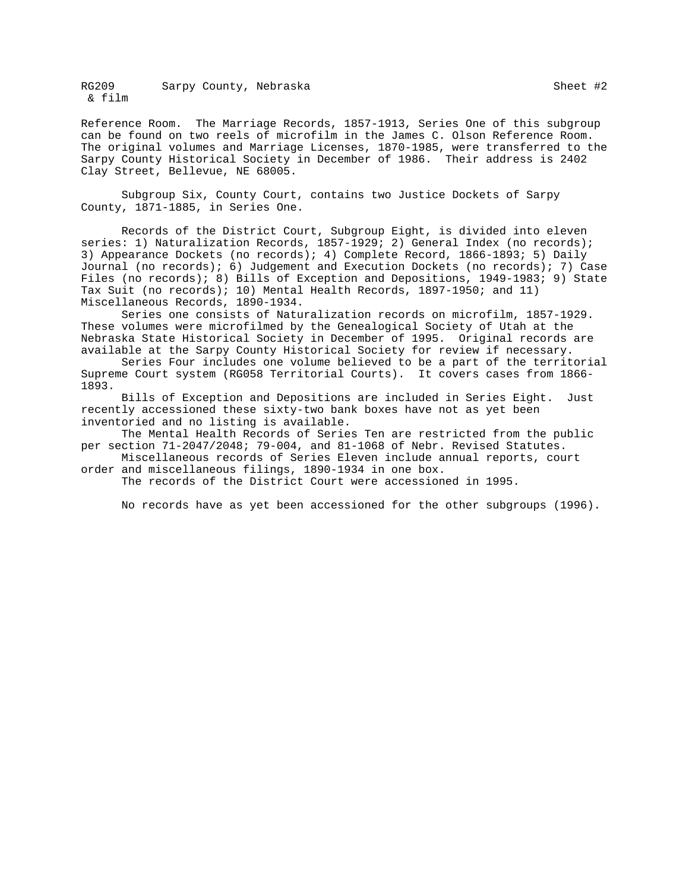Reference Room. The Marriage Records, 1857-1913, Series One of this subgroup can be found on two reels of microfilm in the James C. Olson Reference Room. The original volumes and Marriage Licenses, 1870-1985, were transferred to the Sarpy County Historical Society in December of 1986. Their address is 2402 Clay Street, Bellevue, NE 68005.

Subgroup Six, County Court, contains two Justice Dockets of Sarpy County, 1871-1885, in Series One.

Records of the District Court, Subgroup Eight, is divided into eleven series: 1) Naturalization Records, 1857-1929; 2) General Index (no records); 3) Appearance Dockets (no records); 4) Complete Record, 1866-1893; 5) Daily Journal (no records); 6) Judgement and Execution Dockets (no records); 7) Case Files (no records); 8) Bills of Exception and Depositions, 1949-1983; 9) State Tax Suit (no records); 10) Mental Health Records, 1897-1950; and 11) Miscellaneous Records, 1890-1934.

Series one consists of Naturalization records on microfilm, 1857-1929. These volumes were microfilmed by the Genealogical Society of Utah at the Nebraska State Historical Society in December of 1995. Original records are available at the Sarpy County Historical Society for review if necessary.

Series Four includes one volume believed to be a part of the territorial Supreme Court system (RG058 Territorial Courts). It covers cases from 1866- 1893.

Bills of Exception and Depositions are included in Series Eight. Just recently accessioned these sixty-two bank boxes have not as yet been inventoried and no listing is available.

The Mental Health Records of Series Ten are restricted from the public per section 71-2047/2048; 79-004, and 81-1068 of Nebr. Revised Statutes.

Miscellaneous records of Series Eleven include annual reports, court order and miscellaneous filings, 1890-1934 in one box.

The records of the District Court were accessioned in 1995.

No records have as yet been accessioned for the other subgroups (1996).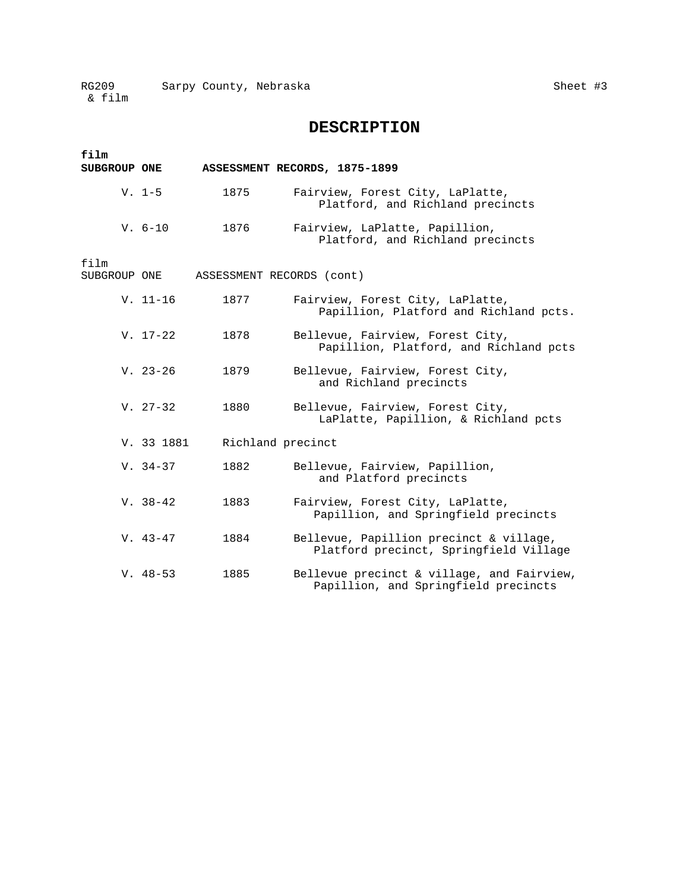# **DESCRIPTION**

| film         |            |                           |                                                                                    |
|--------------|------------|---------------------------|------------------------------------------------------------------------------------|
| SUBGROUP ONE |            |                           | ASSESSMENT RECORDS, 1875-1899                                                      |
|              | $V. 1-5$   | 1875                      | Fairview, Forest City, LaPlatte,<br>Platford, and Richland precincts               |
|              | $V. 6-10$  | 1876                      | Fairview, LaPlatte, Papillion,<br>Platford, and Richland precincts                 |
| film         |            |                           |                                                                                    |
| SUBGROUP ONE |            | ASSESSMENT RECORDS (cont) |                                                                                    |
|              | $V. 11-16$ | 1877                      | Fairview, Forest City, LaPlatte,<br>Papillion, Platford and Richland pcts.         |
|              | $V. 17-22$ | 1878                      | Bellevue, Fairview, Forest City,<br>Papillion, Platford, and Richland pcts         |
|              | $V. 23-26$ | 1879                      | Bellevue, Fairview, Forest City,<br>and Richland precincts                         |
|              | $V. 27-32$ | 1880                      | Bellevue, Fairview, Forest City,<br>LaPlatte, Papillion, & Richland pcts           |
|              | V. 33 1881 | Richland precinct         |                                                                                    |
|              | $V. 34-37$ | 1882                      | Bellevue, Fairview, Papillion,<br>and Platford precincts                           |
|              | $V. 38-42$ | 1883                      | Fairview, Forest City, LaPlatte,<br>Papillion, and Springfield precincts           |
|              | $V. 43-47$ | 1884                      | Bellevue, Papillion precinct & village,<br>Platford precinct, Springfield Village  |
|              | $V. 48-53$ | 1885                      | Bellevue precinct & village, and Fairview,<br>Papillion, and Springfield precincts |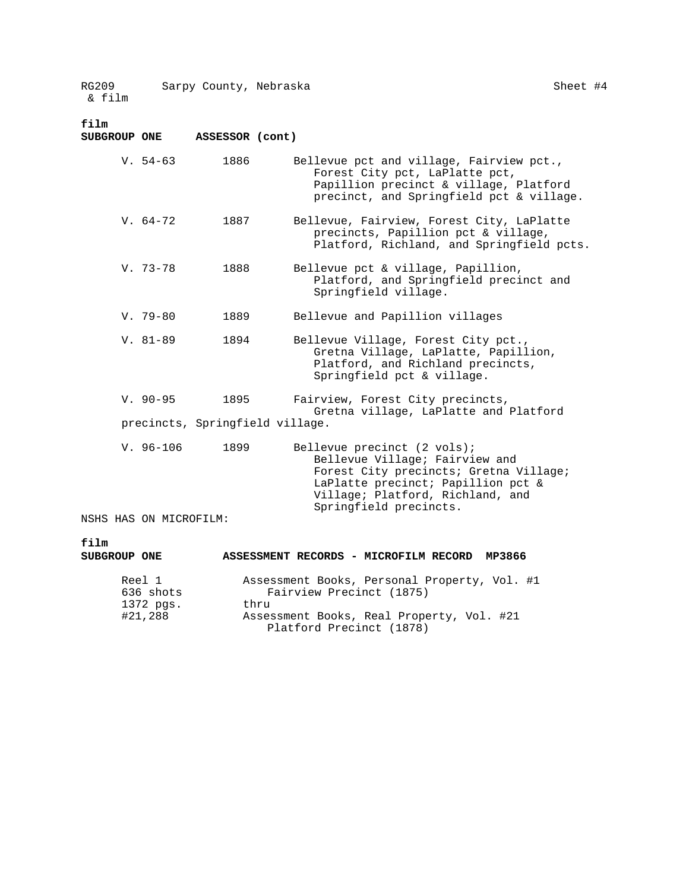# **film**

| SUBGROUP ONE           | ASSESSOR (cont)                 |                                                                                                                                                                                                             |
|------------------------|---------------------------------|-------------------------------------------------------------------------------------------------------------------------------------------------------------------------------------------------------------|
| $V. 54-63$             | 1886                            | Bellevue pct and village, Fairview pct.,<br>Forest City pct, LaPlatte pct,<br>Papillion precinct & village, Platford<br>precinct, and Springfield pct & village.                                            |
| $V. 64-72$             | 1887                            | Bellevue, Fairview, Forest City, LaPlatte<br>precincts, Papillion pct & village,<br>Platford, Richland, and Springfield pcts.                                                                               |
| $V.73-78$              | 1888                            | Bellevue pct & village, Papillion,<br>Platford, and Springfield precinct and<br>Springfield village.                                                                                                        |
| $V.79-80$              | 1889                            | Bellevue and Papillion villages                                                                                                                                                                             |
| $V. 81-89$             | 1894                            | Bellevue Village, Forest City pct.,<br>Gretna Village, LaPlatte, Papillion,<br>Platford, and Richland precincts,<br>Springfield pct & village.                                                              |
| $V. 90 - 95$           | 1895                            | Fairview, Forest City precincts,<br>Gretna village, LaPlatte and Platford                                                                                                                                   |
|                        | precincts, Springfield village. |                                                                                                                                                                                                             |
| $V. 96-106$            | 1899                            | Bellevue precinct (2 vols);<br>Bellevue Village; Fairview and<br>Forest City precincts; Gretna Village;<br>LaPlatte precinct; Papillion pct &<br>Village; Platford, Richland, and<br>Springfield precincts. |
| NSHS HAS ON MICROFILM: |                                 |                                                                                                                                                                                                             |
| film<br>SUBGROUP ONE   |                                 | ASSESSMENT RECORDS - MICROFILM RECORD<br>MP3866                                                                                                                                                             |

| Reel 1<br>636 shots | Assessment Books, Personal Property, Vol. #1<br>Fairview Precinct (1875) |
|---------------------|--------------------------------------------------------------------------|
| 1372 pgs.           | thru                                                                     |
| #21,288             | Assessment Books, Real Property, Vol. #21<br>Platford Precinct (1878)    |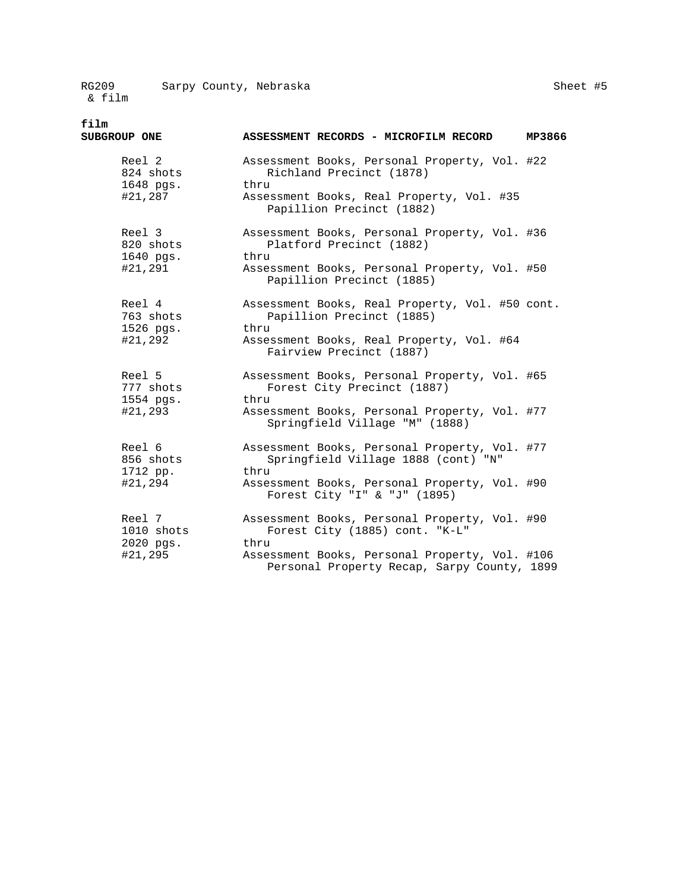| Sheet | #5 |
|-------|----|
|-------|----|

**film** 

| SUBGROUP ONE                                | ASSESSMENT RECORDS - MICROFILM RECORD                                                                                                                       | MP3866 |
|---------------------------------------------|-------------------------------------------------------------------------------------------------------------------------------------------------------------|--------|
| Reel 2<br>824 shots<br>1648 pgs.<br>#21,287 | Assessment Books, Personal Property, Vol. #22<br>Richland Precinct (1878)<br>thru<br>Assessment Books, Real Property, Vol. #35<br>Papillion Precinct (1882) |        |
|                                             |                                                                                                                                                             |        |
| Reel 3<br>820 shots<br>1640 pgs.            | Assessment Books, Personal Property, Vol. #36<br>Platford Precinct (1882)<br>thru                                                                           |        |
| #21,291                                     | Assessment Books, Personal Property, Vol. #50<br>Papillion Precinct (1885)                                                                                  |        |
| Reel 4<br>763 shots<br>1526 pgs.            | Assessment Books, Real Property, Vol. #50 cont.<br>Papillion Precinct (1885)<br>thru                                                                        |        |
| #21,292                                     | Assessment Books, Real Property, Vol. #64<br>Fairview Precinct (1887)                                                                                       |        |
| Reel 5<br>777 shots<br>1554 pgs.            | Assessment Books, Personal Property, Vol. #65<br>Forest City Precinct (1887)<br>thru                                                                        |        |
| #21,293                                     | Assessment Books, Personal Property, Vol. #77<br>Springfield Village "M" (1888)                                                                             |        |
| Reel 6<br>856 shots<br>1712 pp.             | Assessment Books, Personal Property, Vol. #77<br>Springfield Village 1888 (cont) "N"<br>thru                                                                |        |
| #21,294                                     | Assessment Books, Personal Property, Vol. #90<br>Forest City "I" & "J" (1895)                                                                               |        |
| Reel 7<br>$1010$ shots<br>2020 pgs.         | Assessment Books, Personal Property, Vol. #90<br>Forest City (1885) cont. "K-L"<br>thru                                                                     |        |
| #21,295                                     | Assessment Books, Personal Property, Vol. #106<br>Personal Property Recap, Sarpy County, 1899                                                               |        |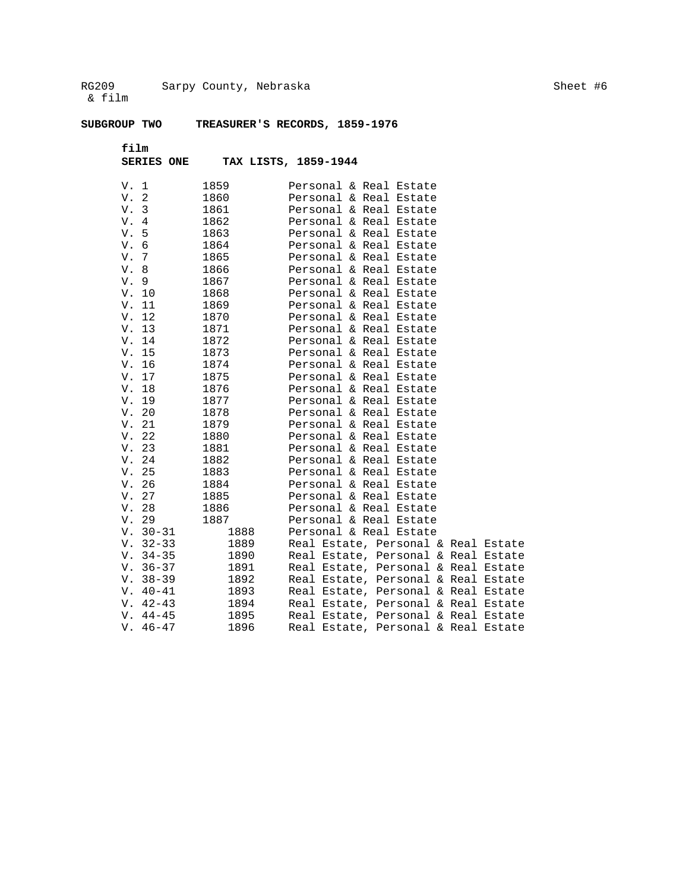# **SUBGROUP TWO TREASURER'S RECORDS, 1859-1976**

**film** 

**SERIES ONE TAX LISTS, 1859-1944** 

| V. 1       | 1859 | Personal & Real Estate              |
|------------|------|-------------------------------------|
| V.2        | 1860 | Personal & Real Estate              |
| V. 3       | 1861 | Personal & Real Estate              |
| V. 4       | 1862 | Personal & Real Estate              |
| V.5        | 1863 | Personal & Real Estate              |
| V. 6       | 1864 | Personal & Real Estate              |
| V. 7       | 1865 | Personal & Real Estate              |
| V. 8       | 1866 | Personal & Real Estate              |
| V.9        | 1867 | Personal & Real Estate              |
| V. 10      | 1868 | Personal & Real Estate              |
| V. 11      | 1869 | Personal & Real Estate              |
| V. 12      | 1870 | Personal & Real Estate              |
| V. 13      | 1871 | Personal & Real Estate              |
| V. 14      | 1872 | Personal & Real Estate              |
| V. 15      | 1873 | Personal & Real Estate              |
| V. 16      | 1874 | Personal & Real Estate              |
| V. 17      | 1875 | Personal & Real Estate              |
| V. 18      | 1876 | Personal & Real Estate              |
| V. 19      | 1877 | Personal & Real Estate              |
| V. 20      | 1878 | Personal & Real Estate              |
| V. 21      | 1879 | Personal & Real Estate              |
| V. 22      | 1880 | Personal & Real Estate              |
| V. 23      | 1881 | Personal & Real Estate              |
| V. 24      | 1882 | Personal & Real Estate              |
| V. 25      | 1883 | Personal & Real Estate              |
| V. 26      | 1884 | Personal & Real Estate              |
| V. 27      | 1885 | Personal & Real Estate              |
| V. 28      | 1886 | Personal & Real Estate              |
| V. 29      | 1887 | Personal & Real Estate              |
| $V. 30-31$ | 1888 | Personal & Real Estate              |
| $V. 32-33$ | 1889 | Real Estate, Personal & Real Estate |
| $V. 34-35$ | 1890 | Real Estate, Personal & Real Estate |
| $V. 36-37$ | 1891 | Real Estate, Personal & Real Estate |
| $V. 38-39$ | 1892 | Real Estate, Personal & Real Estate |
| $V. 40-41$ | 1893 | Real Estate, Personal & Real Estate |
| $V. 42-43$ | 1894 | Real Estate, Personal & Real Estate |
| $V. 44-45$ | 1895 | Real Estate, Personal & Real Estate |
| $V. 46-47$ | 1896 | Real Estate, Personal & Real Estate |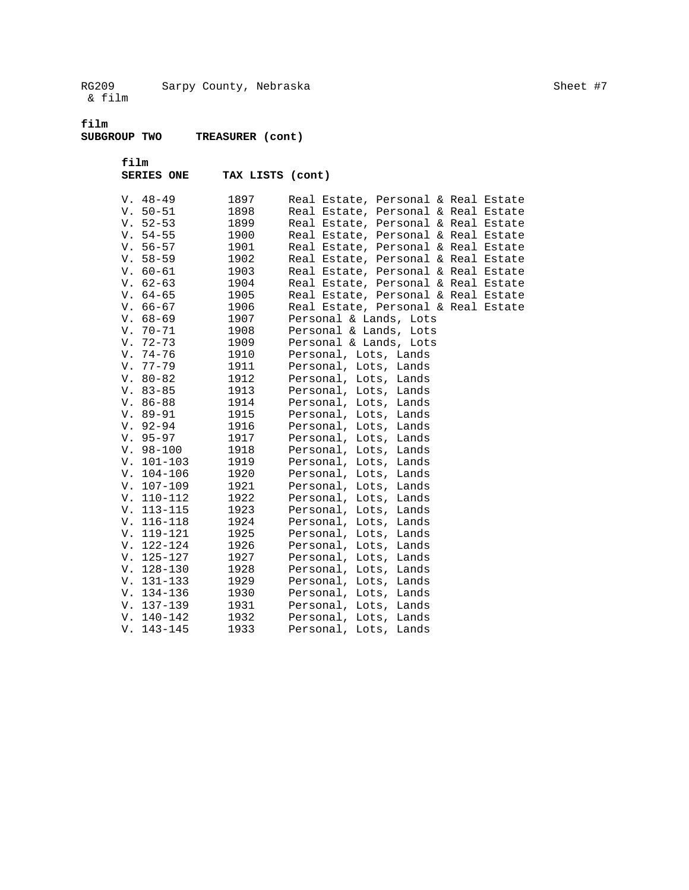**film** 

**SUBGROUP TWO TREASURER (cont)** 

 **film** 

| <b>SERIES ONE</b> |  |  |  | TAX LISTS (cont) |
|-------------------|--|--|--|------------------|
|-------------------|--|--|--|------------------|

| $V. 48-49$      | 1897             | Real Estate, Personal & Real Estate |
|-----------------|------------------|-------------------------------------|
| $V. 50-51$      | 1898             | Real Estate, Personal & Real Estate |
| $V. 52-53$      | 1899             | Real Estate, Personal & Real Estate |
| $V. 54-55$      | 1900             | Real Estate, Personal & Real Estate |
| $V. 56-57$      | 1901             | Real Estate, Personal & Real Estate |
| $V. 58-59$      | 1902             | Real Estate, Personal & Real Estate |
| $V. 60-61$      | 1903             | Real Estate, Personal & Real Estate |
| $V. 62-63$      | 1904             | Real Estate, Personal & Real Estate |
| V. 64–65        | 1905             | Real Estate, Personal & Real Estate |
| $V. 66-67$      | 1906             | Real Estate, Personal & Real Estate |
| $V. 68-69$      | 1907             | Personal & Lands, Lots              |
| $V. 70-71$      | 1908             | Personal & Lands, Lots              |
| V. 72-73        | 1909 - 190       | Personal & Lands, Lots              |
| V. 74-76        | 1910             | Personal, Lots, Lands               |
| V. 77-79        | 1911             | Personal, Lots, Lands               |
| $V. 80-82$      | 1912             | Personal, Lots, Lands               |
| V. 83-85        | 1913             | Personal, Lots, Lands               |
| V. 86-88        | 1914             | Personal, Lots, Lands               |
| V. 89-91 1915   |                  | Personal, Lots, Lands               |
| V. 92-94 1916   |                  | Personal, Lots, Lands               |
| V. 95-97 1917   |                  | Personal, Lots, Lands               |
| V. 98-100 1918  |                  | Personal, Lots, Lands               |
| V. 101-103 1919 |                  | Personal, Lots, Lands               |
| V. 104-106 1920 |                  | Personal, Lots, Lands               |
| V. 107-109 1921 |                  | Personal, Lots, Lands               |
| V. 110-112 1922 |                  | Personal, Lots, Lands               |
| V. 113-115 1923 |                  | Personal, Lots, Lands               |
| V. 116-118 1924 |                  | Personal, Lots, Lands               |
| V. 119-121 1925 |                  | Personal, Lots, Lands               |
| V. 122-124      | 1926             | Personal, Lots, Lands               |
| V. 125-127 1927 |                  | Personal, Lots, Lands               |
| $V. 128-130$    | 1928             | Personal, Lots, Lands               |
| V. 131-133      | 1929             | Personal, Lots, Lands               |
| V. 134-136      | 1930             | Personal, Lots, Lands               |
| $V. 137-139$    | 1931             | Personal, Lots, Lands               |
| $V. 140-142$    | $\frac{1}{1932}$ | Personal, Lots, Lands               |
| $V. 143 - 145$  | 1933             | Personal, Lots, Lands               |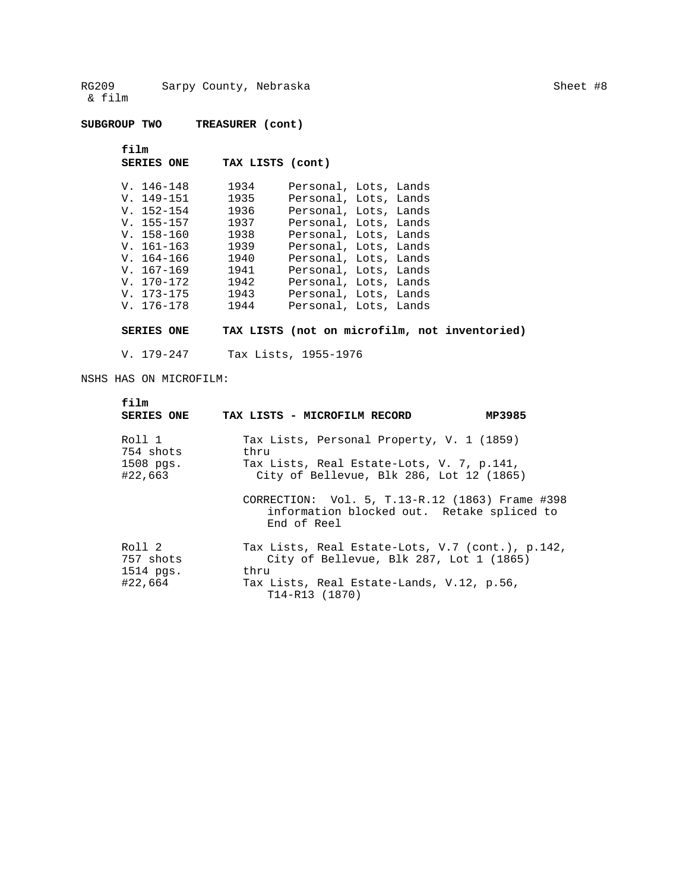**SUBGROUP TWO TREASURER (cont)** 

 **film** 

 **SERIES ONE TAX LISTS (cont)** 

| $V. 146 - 148$ | 1934 | Personal, Lots, Lands |  |
|----------------|------|-----------------------|--|
| $V. 149-151$   | 1935 | Personal, Lots, Lands |  |
| $V. 152 - 154$ | 1936 | Personal, Lots, Lands |  |
| $V. 155 - 157$ | 1937 | Personal, Lots, Lands |  |
| $V. 158 - 160$ | 1938 | Personal, Lots, Lands |  |
| $V. 161-163$   | 1939 | Personal, Lots, Lands |  |
| $V. 164-166$   | 1940 | Personal, Lots, Lands |  |
| $V. 167-169$   | 1941 | Personal, Lots, Lands |  |
| $V. 170-172$   | 1942 | Personal, Lots, Lands |  |
| $V. 173 - 175$ | 1943 | Personal, Lots, Lands |  |
| $V. 176 - 178$ | 1944 | Personal, Lots, Lands |  |

**SERIES ONE TAX LISTS (not on microfilm, not inventoried)** 

V. 179-247 Tax Lists, 1955-1976

NSHS HAS ON MICROFILM:

| film<br><b>SERIES ONE</b>                   | TAX LISTS - MICROFILM RECORD                                                                                                                                       | MP3985 |
|---------------------------------------------|--------------------------------------------------------------------------------------------------------------------------------------------------------------------|--------|
| Roll 1<br>754 shots<br>1508 pgs.<br>#22,663 | Tax Lists, Personal Property, V. 1 (1859)<br>thru<br>Tax Lists, Real Estate-Lots, V. 7, p.141,<br>City of Bellevue, Blk 286, Lot 12 (1865)                         |        |
|                                             | CORRECTION: Vol. 5, T.13-R.12 (1863) Frame #398<br>information blocked out. Retake spliced to<br>End of Reel                                                       |        |
| Roll 2<br>757 shots<br>1514 pgs.<br>#22,664 | Tax Lists, Real Estate-Lots, V.7 (cont.), p.142,<br>City of Bellevue, Blk 287, Lot 1 (1865)<br>thru<br>Tax Lists, Real Estate-Lands, V.12, p.56,<br>T14-R13 (1870) |        |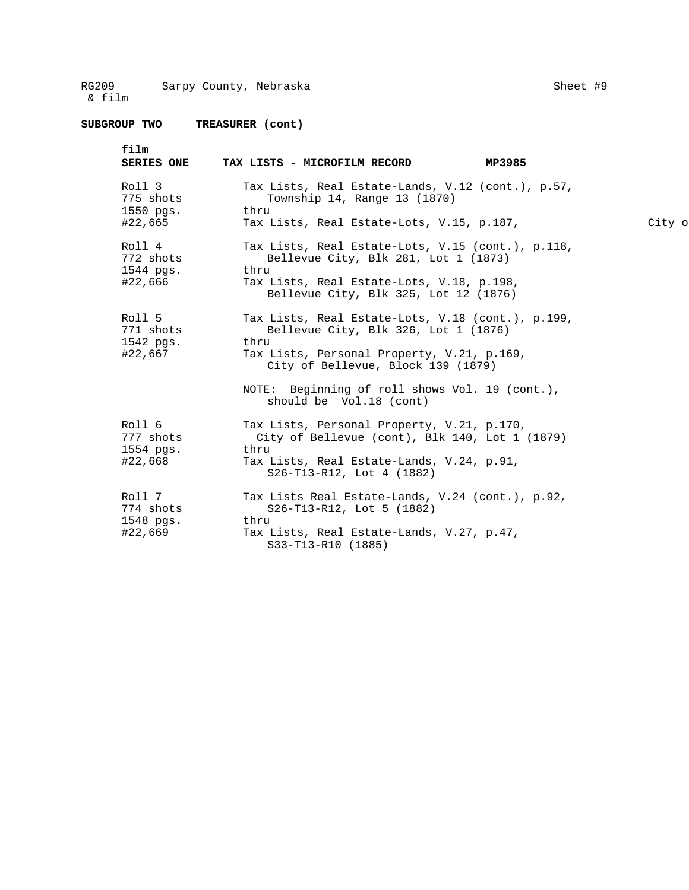**SUBGROUP TWO TREASURER (cont)** 

| film<br><b>SERIES ONE</b>        | MP3985<br>TAX LISTS - MICROFILM RECORD                                                               |        |
|----------------------------------|------------------------------------------------------------------------------------------------------|--------|
| Roll 3<br>775 shots<br>1550 pgs. | Tax Lists, Real Estate-Lands, V.12 (cont.), p.57,<br>Township 14, Range 13 (1870)<br>thru            |        |
| #22,665                          | Tax Lists, Real Estate-Lots, V.15, p.187,                                                            | City o |
| Roll 4<br>772 shots<br>1544 pgs. | Tax Lists, Real Estate-Lots, V.15 (cont.), p.118,<br>Bellevue City, Blk 281, Lot 1 (1873)<br>thru    |        |
| #22,666                          | Tax Lists, Real Estate-Lots, V.18, p.198,<br>Bellevue City, Blk 325, Lot 12 (1876)                   |        |
| Roll 5<br>771 shots              | Tax Lists, Real Estate-Lots, V.18 (cont.), p.199,<br>Bellevue City, Blk 326, Lot 1 (1876)            |        |
| 1542 pgs.<br>#22,667             | thru<br>Tax Lists, Personal Property, V.21, p.169,<br>City of Bellevue, Block 139 (1879)             |        |
|                                  | NOTE: Beginning of roll shows Vol. 19 (cont.),<br>should be Vol.18 (cont)                            |        |
| Roll 6<br>777 shots<br>1554 pgs. | Tax Lists, Personal Property, V.21, p.170,<br>City of Bellevue (cont), Blk 140, Lot 1 (1879)<br>thru |        |
| #22,668                          | Tax Lists, Real Estate-Lands, V.24, p.91,<br>S26-T13-R12, Lot 4 (1882)                               |        |
| Roll 7<br>774 shots              | Tax Lists Real Estate-Lands, V.24 (cont.), p.92,<br>S26-T13-R12, Lot 5 (1882)<br>thru                |        |
| 1548 pgs.<br>#22,669             | Tax Lists, Real Estate-Lands, V.27, p.47,<br>S33-T13-R10 (1885)                                      |        |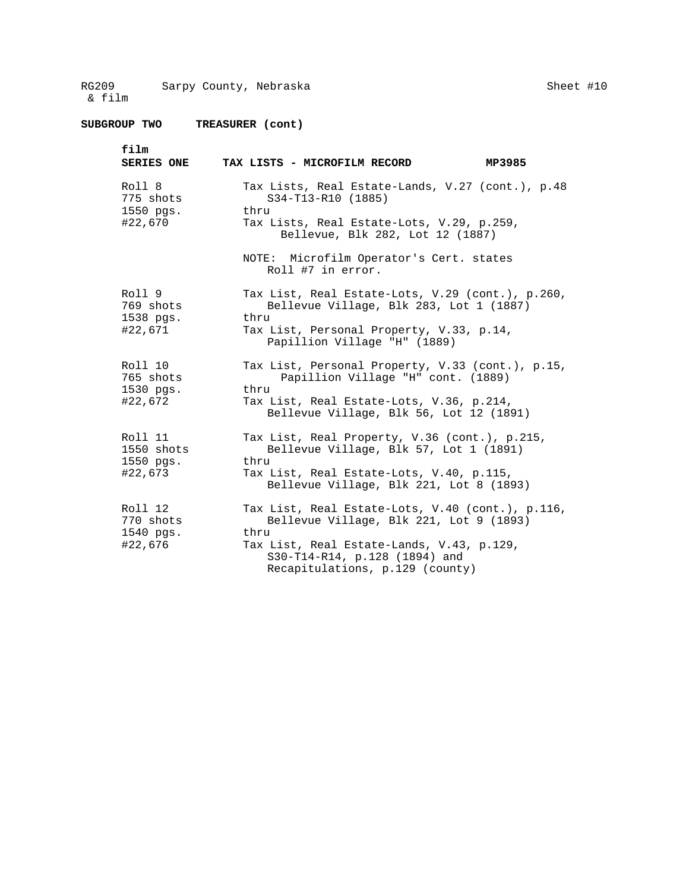Sheet #10

| film              | TAX LISTS - MICROFILM RECORD                                                                                  |
|-------------------|---------------------------------------------------------------------------------------------------------------|
| <b>SERIES ONE</b> | MP3985                                                                                                        |
| Roll 8            | Tax Lists, Real Estate-Lands, V.27 (cont.), p.48                                                              |
| 775 shots         | S34-T13-R10 (1885)                                                                                            |
| 1550 pgs.         | thru                                                                                                          |
| #22,670           | Tax Lists, Real Estate-Lots, V.29, p.259,<br>Bellevue, Blk 282, Lot 12 (1887)                                 |
|                   | NOTE: Microfilm Operator's Cert. states<br>Roll #7 in error.                                                  |
| Roll 9            | Tax List, Real Estate-Lots, V.29 (cont.), p.260,                                                              |
| 769 shots         | Bellevue Village, Blk 283, Lot 1 (1887)                                                                       |
| 1538 pgs.         | thru                                                                                                          |
| #22,671           | Tax List, Personal Property, V.33, p.14,<br>Papillion Village "H" (1889)                                      |
| Roll 10           | Tax List, Personal Property, V.33 (cont.), p.15,                                                              |
| 765 shots         | Papillion Village "H" cont. (1889)                                                                            |
| 1530 pgs.         | thru                                                                                                          |
| #22,672           | Tax List, Real Estate-Lots, V.36, p.214,<br>Bellevue Village, Blk 56, Lot 12 (1891)                           |
| Roll 11           | Tax List, Real Property, V.36 (cont.), p.215,                                                                 |
| 1550 shots        | Bellevue Village, Blk 57, Lot 1 (1891)                                                                        |
| 1550 pgs.         | thru                                                                                                          |
| #22,673           | Tax List, Real Estate-Lots, V.40, p.115,<br>Bellevue Village, Blk 221, Lot 8 (1893)                           |
| Roll 12           | Tax List, Real Estate-Lots, V.40 (cont.), p.116,                                                              |
| 770 shots         | Bellevue Village, Blk 221, Lot 9 (1893)                                                                       |
| 1540 pgs.         | thru                                                                                                          |
| #22,676           | Tax List, Real Estate-Lands, V.43, p.129,<br>S30-T14-R14, p.128 (1894) and<br>Recapitulations, p.129 (county) |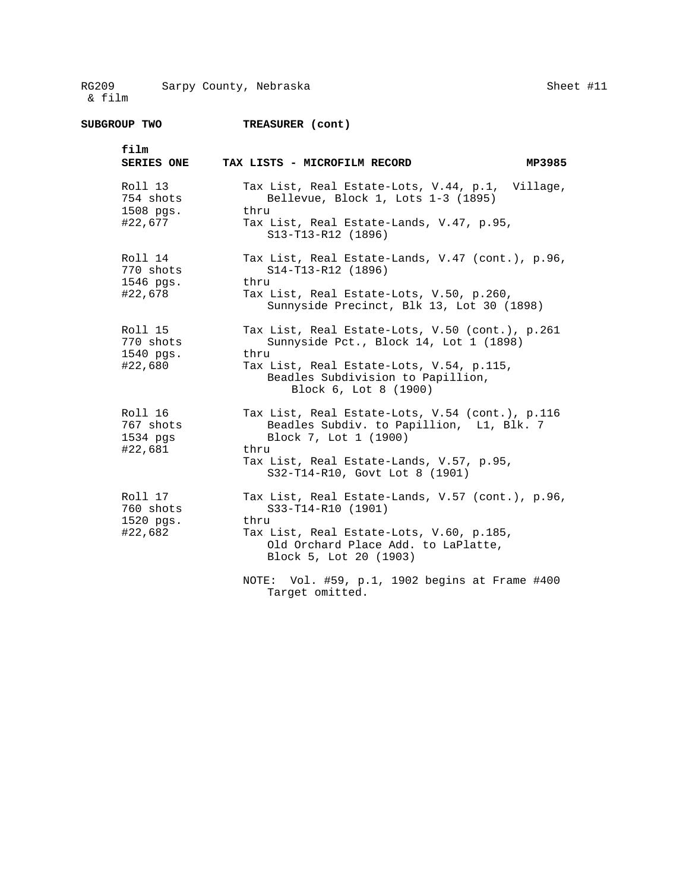| film<br><b>SERIES ONE</b>                    | TAX LISTS - MICROFILM RECORD<br>MP3985                                                                                                                                                                      |
|----------------------------------------------|-------------------------------------------------------------------------------------------------------------------------------------------------------------------------------------------------------------|
| Roll 13<br>754 shots<br>1508 pgs.<br>#22,677 | Tax List, Real Estate-Lots, V.44, p.1, Village,<br>Bellevue, Block 1, Lots 1-3 (1895)<br>thru<br>Tax List, Real Estate-Lands, V.47, p.95,<br>S13-T13-R12 (1896)                                             |
| Roll 14<br>770 shots<br>1546 pgs.<br>#22,678 | Tax List, Real Estate-Lands, V.47 (cont.), p.96,<br>S14-T13-R12 (1896)<br>thru<br>Tax List, Real Estate-Lots, V.50, p.260,<br>Sunnyside Precinct, Blk 13, Lot 30 (1898)                                     |
| Roll 15<br>770 shots<br>1540 pgs.<br>#22,680 | Tax List, Real Estate-Lots, V.50 (cont.), p.261<br>Sunnyside Pct., Block 14, Lot 1 (1898)<br>thru<br>Tax List, Real Estate-Lots, V.54, p.115,<br>Beadles Subdivision to Papillion,<br>Block 6, Lot 8 (1900) |
| Roll 16<br>767 shots<br>1534 pgs<br>#22,681  | Tax List, Real Estate-Lots, V.54 (cont.), p.116<br>Beadles Subdiv. to Papillion, L1, Blk. 7<br>Block 7, Lot 1 (1900)<br>thru<br>Tax List, Real Estate-Lands, V.57, p.95,<br>S32-T14-R10, Govt Lot 8 (1901)  |
| Roll 17<br>760 shots<br>1520 pgs.<br>#22,682 | Tax List, Real Estate-Lands, V.57 (cont.), p.96,<br>S33-T14-R10 (1901)<br>thru<br>Tax List, Real Estate-Lots, V.60, p.185,<br>Old Orchard Place Add. to LaPlatte,<br>Block 5, Lot 20 (1903)                 |
|                                              | NOTE: Vol. #59, p.1, 1902 begins at Frame #400<br>Target omitted.                                                                                                                                           |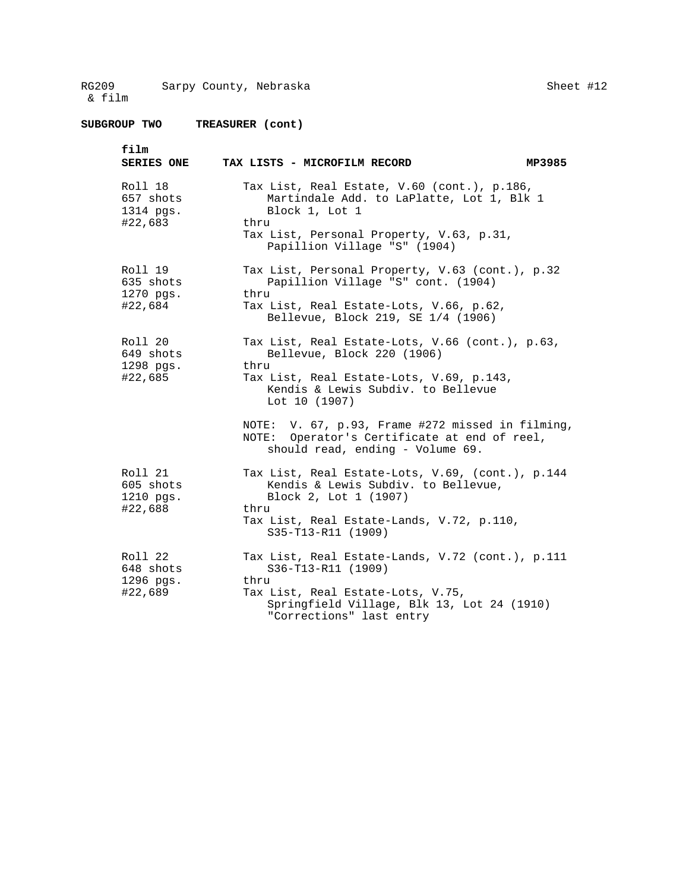Sheet #12

**SUBGROUP TWO TREASURER (cont) film SERIES ONE TAX LISTS - MICROFILM RECORD MP3985**  Roll 18 Tax List, Real Estate, V.60 (cont.), p.186,<br>657 shots Martindale Add. to LaPlatte, Lot 1, Blk 657 shots Martindale Add. to LaPlatte, Lot 1, Blk 1<br>1314 pgs. Block 1, Lot 1 Block 1, Lot 1<br>thru #22,683 Tax List, Personal Property, V.63, p.31, Papillion Village "S" (1904) Roll 19 Tax List, Personal Property, V.63 (cont.), p.32 635 shots Papillion Village "S" cont. (1904) 1270 pgs. thru #22,684 Tax List, Real Estate-Lots, V.66, p.62, Bellevue, Block 219, SE 1/4 (1906) Roll 20 Tax List, Real Estate-Lots, V.66 (cont.), p.63,<br>649 shots Bellevue, Block 220 (1906) Bellevue, Block 220 (1906) 1298 pgs. thru Tax List, Real Estate-Lots, V.69, p.143, Kendis & Lewis Subdiv. to Bellevue Lot 10 (1907) NOTE: V. 67, p.93, Frame #272 missed in filming, NOTE: Operator's Certificate at end of reel, should read, ending - Volume 69. Roll 21 Tax List, Real Estate-Lots, V.69, (cont.), p.144 605 shots Kendis & Lewis Subdiv. to Bellevue, Block 2, Lot 1 (1907) #22,688 thru Tax List, Real Estate-Lands, V.72, p.110, S35-T13-R11 (1909) Roll 22 Tax List, Real Estate-Lands, V.72 (cont.), p.111 648 shots S36-T13-R11 (1909) 1296 pgs. thru Tax List, Real Estate-Lots, V.75, Springfield Village, Blk 13, Lot 24 (1910)

"Corrections" last entry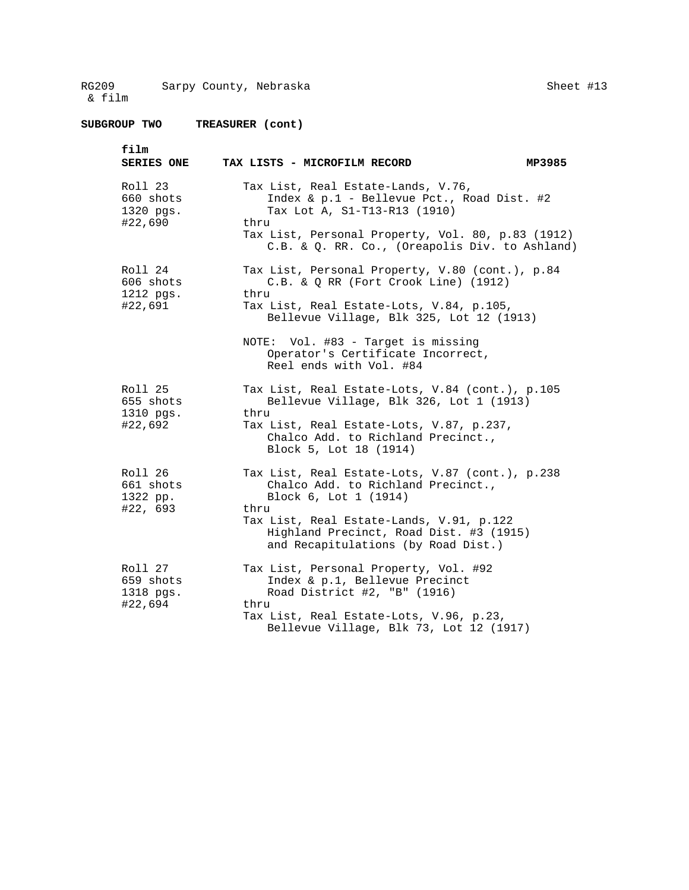**SUBGROUP TWO TREASURER (cont)** 

Sheet #13

 **film SERIES ONE TAX LISTS - MICROFILM RECORD MP3985**  Roll 23 Tax List, Real Estate-Lands, V.76,<br>660 shots The The Rellevue Pct., Ro 660 shots  $\begin{array}{ccc} 660 & \text{shots} \\ - & \text{Index & 2} \\ 1320 & \text{pqs.} \end{array}$  Tax Lot A, S1-T13-R13 (1910) Tax Lot A, S1-T13-R13 (1910) #22,690 thru Tax List, Personal Property, Vol. 80, p.83 (1912) C.B. & Q. RR. Co., (Oreapolis Div. to Ashland) Roll 24 Tax List, Personal Property, V.80 (cont.), p.84 606 shots C.B. & Q RR (Fort Crook Line) (1912) 1212 pgs. thru #22,691 Tax List, Real Estate-Lots, V.84, p.105, Bellevue Village, Blk 325, Lot 12 (1913) NOTE: Vol. #83 - Target is missing Operator's Certificate Incorrect, Reel ends with Vol. #84 Roll 25 Tax List, Real Estate-Lots, V.84 (cont.), p.105<br>655 shots Bellevue Village, Blk 326, Lot 1 (1913) Bellevue Village, Blk 326, Lot 1 (1913) 1310 pgs. thru<br>#22,692 Tax 1 Tax List, Real Estate-Lots, V.87, p.237, Chalco Add. to Richland Precinct., Block 5, Lot 18 (1914) Roll 26 Tax List, Real Estate-Lots, V.87 (cont.), p.238 661 shots Chalco Add. to Richland Precinct., 1322 pp. Block 6, Lot 1 (1914) #22, 693 thru Tax List, Real Estate-Lands, V.91, p.122 Highland Precinct, Road Dist. #3 (1915) and Recapitulations (by Road Dist.) Roll 27 Tax List, Personal Property, Vol. #92 659 shots Index & p.1, Bellevue Precinct 1318 pgs. Road District #2, "B" (1916) #22,694 thru Tax List, Real Estate-Lots, V.96, p.23, Bellevue Village, Blk 73, Lot 12 (1917)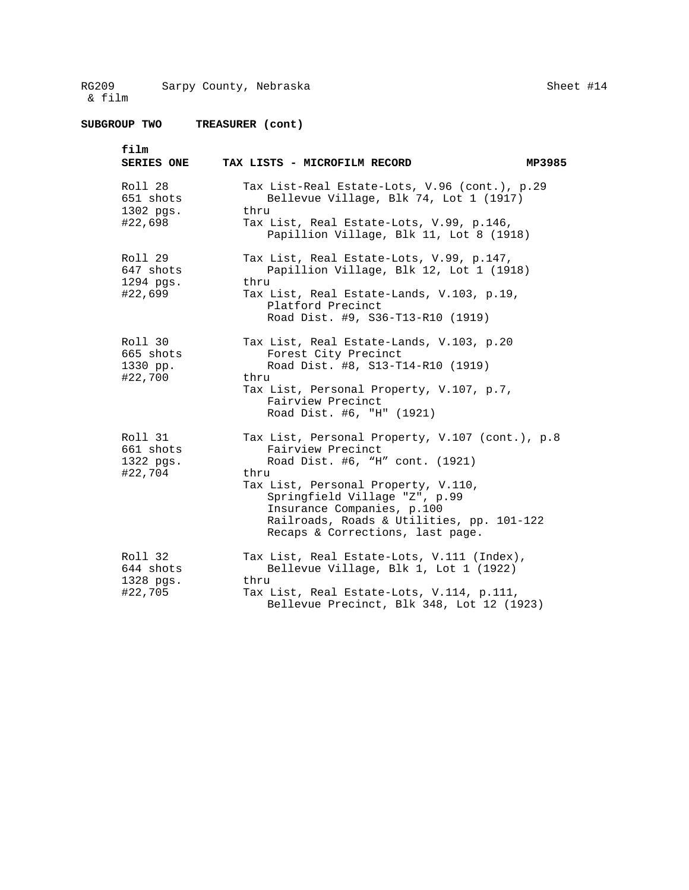Sheet #14

| film<br><b>SERIES ONE</b>                    | MP3985<br>TAX LISTS - MICROFILM RECORD                                                                                                                                                                                                                                                                 |
|----------------------------------------------|--------------------------------------------------------------------------------------------------------------------------------------------------------------------------------------------------------------------------------------------------------------------------------------------------------|
| Roll 28<br>651 shots<br>1302 pgs.<br>#22,698 | Tax List-Real Estate-Lots, V.96 (cont.), p.29<br>Bellevue Village, Blk 74, Lot 1 (1917)<br>thru<br>Tax List, Real Estate-Lots, V.99, p.146,<br>Papillion Village, Blk 11, Lot 8 (1918)                                                                                                                 |
| Roll 29<br>647 shots<br>1294 pgs.<br>#22,699 | Tax List, Real Estate-Lots, V.99, p.147,<br>Papillion Village, Blk 12, Lot 1 (1918)<br>thru<br>Tax List, Real Estate-Lands, V.103, p.19,<br>Platford Precinct<br>Road Dist. #9, S36-T13-R10 (1919)                                                                                                     |
| Roll 30<br>665 shots<br>1330 pp.<br>#22,700  | Tax List, Real Estate-Lands, V.103, p.20<br>Forest City Precinct<br>Road Dist. #8, S13-T14-R10 (1919)<br>thru<br>Tax List, Personal Property, V.107, p.7,<br>Fairview Precinct<br>Road Dist. #6, "H" (1921)                                                                                            |
| Roll 31<br>661 shots<br>1322 pgs.<br>#22,704 | Tax List, Personal Property, V.107 (cont.), p.8<br>Fairview Precinct<br>Road Dist. #6, "H" cont. (1921)<br>thru<br>Tax List, Personal Property, V.110,<br>Springfield Village "Z", p.99<br>Insurance Companies, p.100<br>Railroads, Roads & Utilities, pp. 101-122<br>Recaps & Corrections, last page. |
| Roll 32<br>644 shots<br>1328 pgs.<br>#22,705 | Tax List, Real Estate-Lots, V.111 (Index),<br>Bellevue Village, Blk 1, Lot 1 (1922)<br>thru<br>Tax List, Real Estate-Lots, V.114, p.111,<br>Bellevue Precinct, Blk 348, Lot 12 (1923)                                                                                                                  |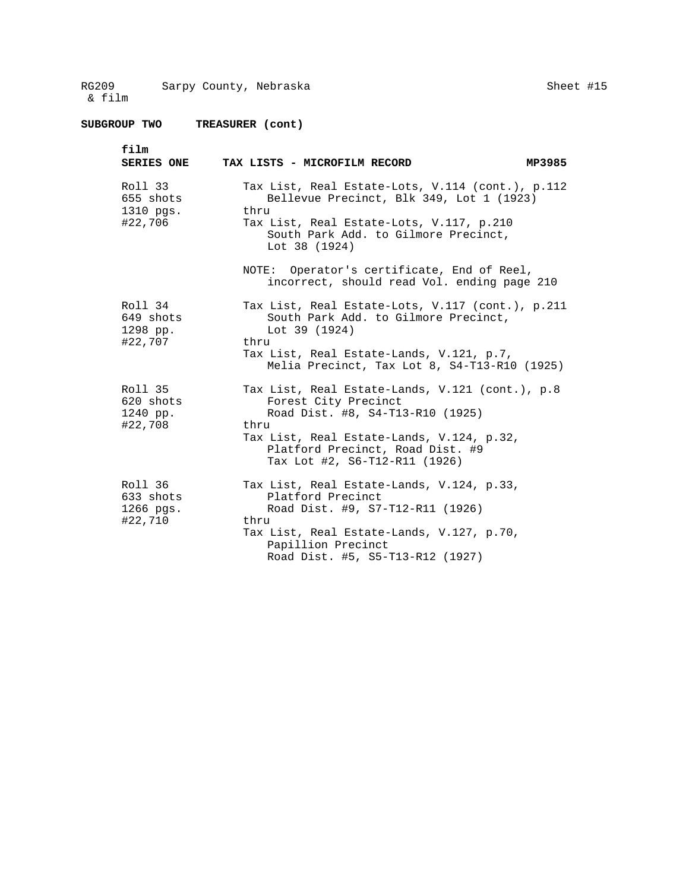| film<br><b>SERIES ONE</b>                    | MP3985<br>TAX LISTS - MICROFILM RECORD                                                                                                                                                                                                |
|----------------------------------------------|---------------------------------------------------------------------------------------------------------------------------------------------------------------------------------------------------------------------------------------|
| Roll 33<br>655 shots<br>1310 pgs.<br>#22,706 | Tax List, Real Estate-Lots, V.114 (cont.), p.112<br>Bellevue Precinct, Blk 349, Lot 1 (1923)<br>thru<br>Tax List, Real Estate-Lots, V.117, p.210<br>South Park Add. to Gilmore Precinct,<br>Lot 38 (1924)                             |
|                                              | NOTE: Operator's certificate, End of Reel,<br>incorrect, should read Vol. ending page 210                                                                                                                                             |
| Roll 34<br>649 shots<br>1298 pp.<br>#22,707  | Tax List, Real Estate-Lots, V.117 (cont.), p.211<br>South Park Add. to Gilmore Precinct,<br>Lot $39(1924)$<br>thru<br>Tax List, Real Estate-Lands, V.121, p.7,<br>Melia Precinct, Tax Lot 8, S4-T13-R10 (1925)                        |
| Roll 35<br>620 shots<br>1240 pp.<br>#22,708  | Tax List, Real Estate-Lands, V.121 (cont.), p.8<br>Forest City Precinct<br>Road Dist. #8, S4-T13-R10 (1925)<br>thru<br>Tax List, Real Estate-Lands, V.124, p.32,<br>Platford Precinct, Road Dist. #9<br>Tax Lot #2, S6-T12-R11 (1926) |
| Roll 36<br>633 shots<br>1266 pgs.<br>#22,710 | Tax List, Real Estate-Lands, V.124, p.33,<br>Platford Precinct<br>Road Dist. #9, S7-T12-R11 (1926)<br>thru<br>Tax List, Real Estate-Lands, V.127, p.70,<br>Papillion Precinct<br>Road Dist. #5, S5-T13-R12 (1927)                     |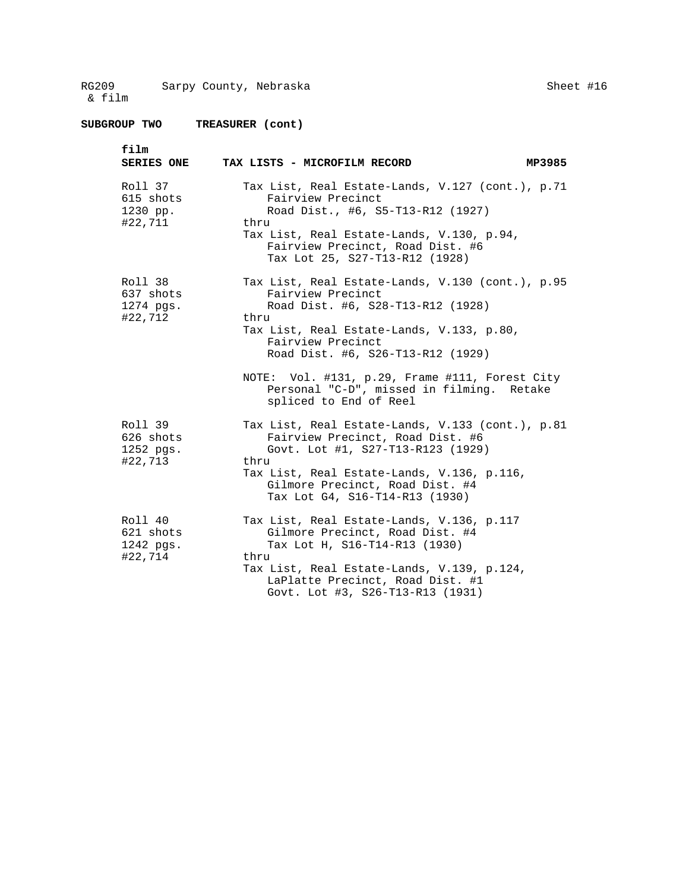Sheet #16

| film<br><b>SERIES ONE</b>                    | TAX LISTS - MICROFILM RECORD<br>MP3985                                                                                                                                                                                                                                                                                                             |
|----------------------------------------------|----------------------------------------------------------------------------------------------------------------------------------------------------------------------------------------------------------------------------------------------------------------------------------------------------------------------------------------------------|
| Roll 37<br>615 shots<br>1230 pp.<br>#22,711  | Tax List, Real Estate-Lands, V.127 (cont.), p.71<br>Fairview Precinct<br>Road Dist., #6, S5-T13-R12 (1927)<br>thru<br>Tax List, Real Estate-Lands, V.130, p.94,<br>Fairview Precinct, Road Dist. #6<br>Tax Lot 25, S27-T13-R12 (1928)                                                                                                              |
| Roll 38<br>637 shots<br>1274 pgs.<br>#22,712 | Tax List, Real Estate-Lands, V.130 (cont.), p.95<br>Fairview Precinct<br>Road Dist. #6, S28-T13-R12 (1928)<br>thru<br>Tax List, Real Estate-Lands, V.133, p.80,<br>Fairview Precinct<br>Road Dist. #6, S26-T13-R12 (1929)<br>NOTE: Vol. #131, p.29, Frame #111, Forest City<br>Personal "C-D", missed in filming. Retake<br>spliced to End of Reel |
| Roll 39<br>626 shots<br>1252 pgs.<br>#22,713 | Tax List, Real Estate-Lands, V.133 (cont.), p.81<br>Fairview Precinct, Road Dist. #6<br>Govt. Lot #1, S27-T13-R123 (1929)<br>thru<br>Tax List, Real Estate-Lands, V.136, p.116,<br>Gilmore Precinct, Road Dist. #4<br>Tax Lot G4, S16-T14-R13 (1930)                                                                                               |
| Roll 40<br>621 shots<br>1242 pgs.<br>#22,714 | Tax List, Real Estate-Lands, V.136, p.117<br>Gilmore Precinct, Road Dist. #4<br>Tax Lot H, S16-T14-R13 (1930)<br>thru<br>Tax List, Real Estate-Lands, V.139, p.124,<br>LaPlatte Precinct, Road Dist. #1<br>Govt. Lot #3, S26-T13-R13 (1931)                                                                                                        |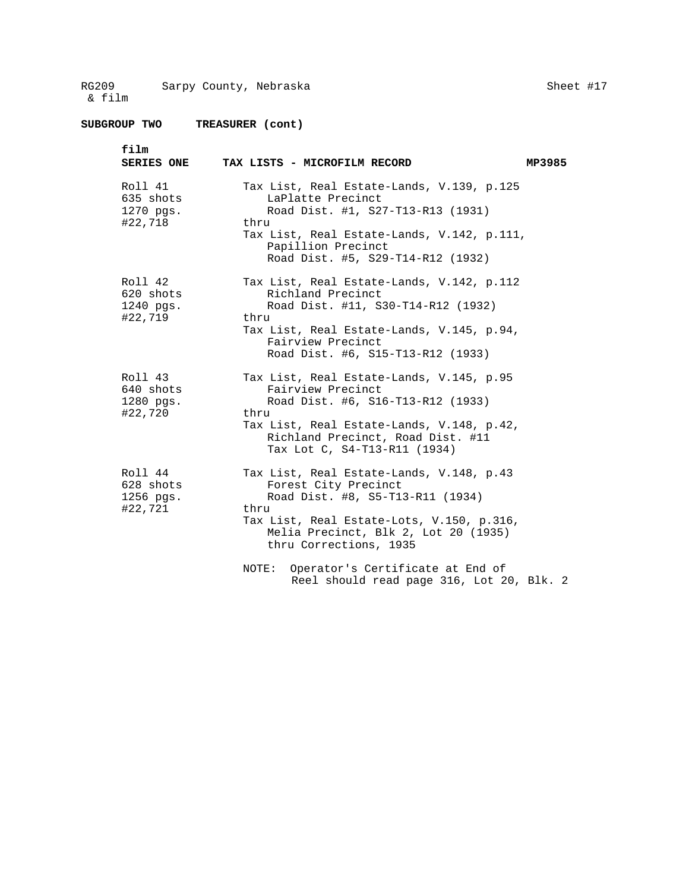| film<br><b>SERIES ONE</b>                    | TAX LISTS - MICROFILM RECORD                                                                                                                                                                                                 | MP3985 |
|----------------------------------------------|------------------------------------------------------------------------------------------------------------------------------------------------------------------------------------------------------------------------------|--------|
| Roll 41<br>635 shots<br>1270 pgs.<br>#22,718 | Tax List, Real Estate-Lands, V.139, p.125<br>LaPlatte Precinct<br>Road Dist. #1, S27-T13-R13 (1931)<br>thru<br>Tax List, Real Estate-Lands, V.142, p.111,<br>Papillion Precinct<br>Road Dist. #5, S29-T14-R12 (1932)         |        |
| Roll 42<br>620 shots<br>1240 pgs.<br>#22,719 | Tax List, Real Estate-Lands, V.142, p.112<br>Richland Precinct<br>Road Dist. #11, S30-T14-R12 (1932)<br>thru<br>Tax List, Real Estate-Lands, V.145, p.94,<br>Fairview Precinct<br>Road Dist. #6, S15-T13-R12 (1933)          |        |
| Roll 43<br>640 shots<br>1280 pgs.<br>#22,720 | Tax List, Real Estate-Lands, V.145, p.95<br>Fairview Precinct<br>Road Dist. #6, S16-T13-R12 (1933)<br>thru<br>Tax List, Real Estate-Lands, V.148, p.42,<br>Richland Precinct, Road Dist. #11<br>Tax Lot C, S4-T13-R11 (1934) |        |
| Roll 44<br>628 shots<br>1256 pgs.<br>#22,721 | Tax List, Real Estate-Lands, V.148, p.43<br>Forest City Precinct<br>Road Dist. #8, S5-T13-R11 (1934)<br>thru<br>Tax List, Real Estate-Lots, V.150, p.316,<br>Melia Precinct, Blk 2, Lot 20 (1935)<br>thru Corrections, 1935  |        |
|                                              | Operator's Certificate at End of<br>NOTE:<br>Reel should read page 316, Lot 20, Blk. 2                                                                                                                                       |        |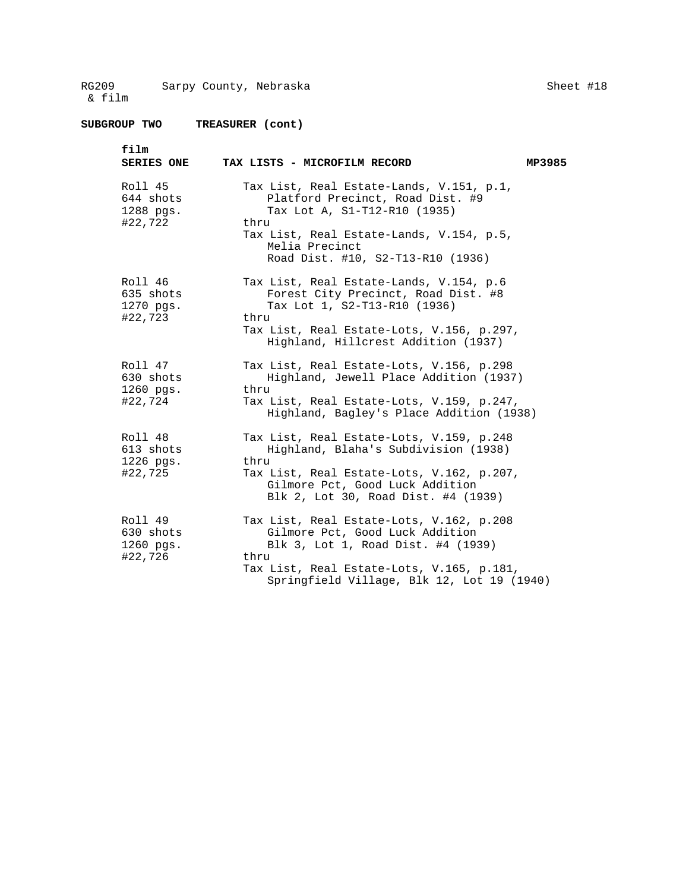Sheet #18

| film<br><b>SERIES ONE</b>                    | TAX LISTS - MICROFILM RECORD                                                                                                                                                                                            | MP3985 |
|----------------------------------------------|-------------------------------------------------------------------------------------------------------------------------------------------------------------------------------------------------------------------------|--------|
| Roll 45<br>644 shots<br>1288 pgs.<br>#22,722 | Tax List, Real Estate-Lands, V.151, p.1,<br>Platford Precinct, Road Dist. #9<br>Tax Lot A, S1-T12-R10 (1935)<br>thru<br>Tax List, Real Estate-Lands, V.154, p.5,<br>Melia Precinct<br>Road Dist. #10, S2-T13-R10 (1936) |        |
| Roll 46<br>635 shots<br>1270 pgs.<br>#22,723 | Tax List, Real Estate-Lands, V.154, p.6<br>Forest City Precinct, Road Dist. #8<br>Tax Lot 1, S2-T13-R10 (1936)<br>thru<br>Tax List, Real Estate-Lots, V.156, p.297,<br>Highland, Hillcrest Addition (1937)              |        |
| Roll 47<br>630 shots<br>1260 pgs.<br>#22,724 | Tax List, Real Estate-Lots, V.156, p.298<br>Highland, Jewell Place Addition (1937)<br>thru<br>Tax List, Real Estate-Lots, V.159, p.247,<br>Highland, Bagley's Place Addition (1938)                                     |        |
| Roll 48<br>613 shots<br>1226 pgs.<br>#22,725 | Tax List, Real Estate-Lots, V.159, p.248<br>Highland, Blaha's Subdivision (1938)<br>thru<br>Tax List, Real Estate-Lots, V.162, p.207,<br>Gilmore Pct, Good Luck Addition<br>Blk 2, Lot 30, Road Dist. #4 (1939)         |        |
| Roll 49<br>630 shots<br>1260 pgs.<br>#22,726 | Tax List, Real Estate-Lots, V.162, p.208<br>Gilmore Pct, Good Luck Addition<br>Blk 3, Lot 1, Road Dist. #4 (1939)<br>thru<br>Tax List, Real Estate-Lots, V.165, p.181,<br>Springfield Village, Blk 12, Lot 19 (1940)    |        |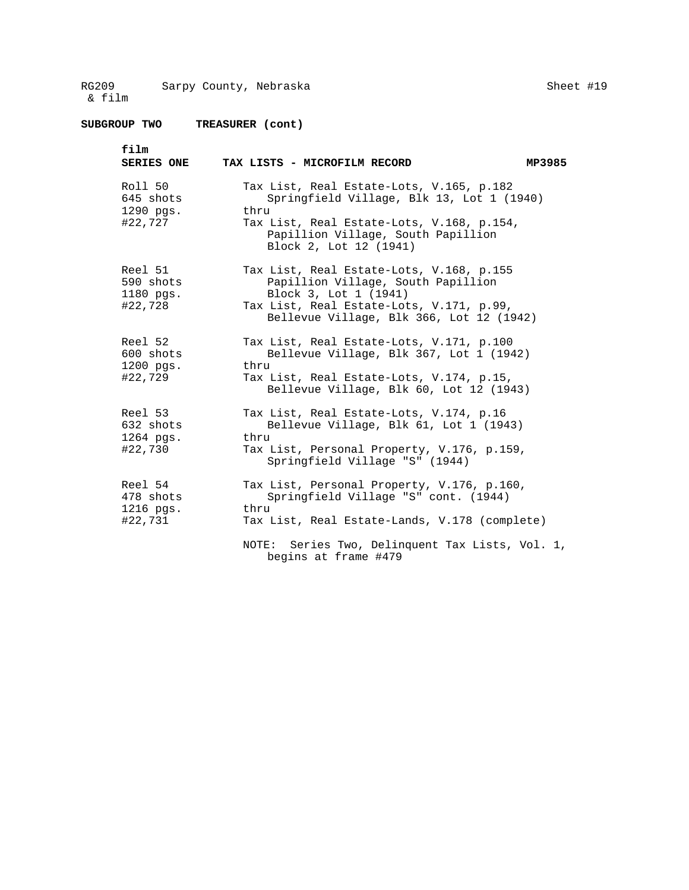**SUBGROUP TWO TREASURER (cont)** 

| film<br><b>SERIES ONE</b>                      | TAX LISTS - MICROFILM RECORD<br>MP3985                                                                                                                                                                                    |
|------------------------------------------------|---------------------------------------------------------------------------------------------------------------------------------------------------------------------------------------------------------------------------|
| Roll 50<br>645 shots<br>$1290$ pqs.<br>#22,727 | Tax List, Real Estate-Lots, V.165, p.182<br>Springfield Village, Blk 13, Lot 1 (1940)<br>thru<br>Tax List, Real Estate-Lots, V.168, p.154,<br>Papillion Village, South Papillion<br>Block 2, Lot 12 (1941)                |
| Reel 51<br>590 shots<br>1180 pgs.<br>#22,728   | Tax List, Real Estate-Lots, V.168, p.155<br>Papillion Village, South Papillion<br>Block 3, Lot 1 (1941)<br>Tax List, Real Estate-Lots, V.171, p.99,<br>Bellevue Village, Blk 366, Lot 12 (1942)                           |
| Reel 52<br>600 shots<br>1200 pgs.<br>#22,729   | Tax List, Real Estate-Lots, V.171, p.100<br>Bellevue Village, Blk 367, Lot 1 (1942)<br>thru<br>Tax List, Real Estate-Lots, V.174, p.15,<br>Bellevue Village, Blk 60, Lot 12 (1943)                                        |
| Reel 53<br>632 shots<br>$1264$ pgs.<br>#22,730 | Tax List, Real Estate-Lots, V.174, p.16<br>Bellevue Village, Blk 61, Lot 1 (1943)<br>thru<br>Tax List, Personal Property, V.176, p.159,<br>Springfield Village "S" (1944)                                                 |
| Reel 54<br>478 shots<br>1216 pgs.<br>#22,731   | Tax List, Personal Property, V.176, p.160,<br>Springfield Village "S" cont. (1944)<br>thru<br>Tax List, Real Estate-Lands, V.178 (complete)<br>Series Two, Delinquent Tax Lists, Vol. 1,<br>NOTE:<br>begins at frame #479 |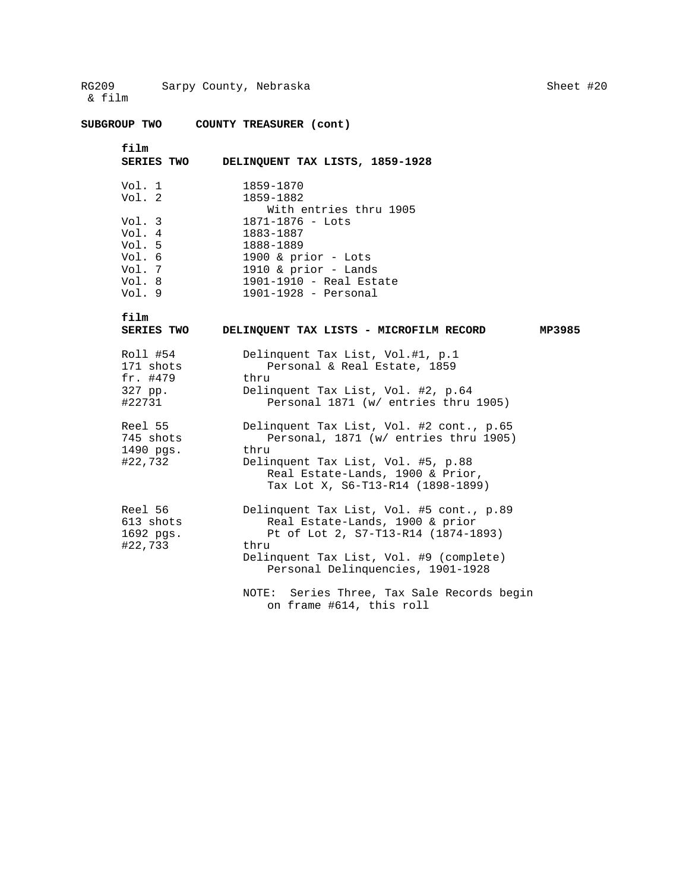**SUBGROUP TWO COUNTY TREASURER (cont)** 

```
film
```
**film** 

DELINQUENT TAX LISTS, 1859-1928

| Vol. 1 | 1859-1870                |
|--------|--------------------------|
| Vol. 2 | 1859-1882                |
|        | With entries thru 1905   |
| Vol. 3 | $1871 - 1876 -$ Lots     |
| Vol. 4 | 1883-1887                |
| Vol. 5 | 1888-1889                |
| Vol. 6 | 1900 & prior $-$ Lots    |
| Vol. 7 | 1910 & prior - Lands     |
| Vol. 8 | 1901-1910 - Real Estate  |
| Vol. 9 | $1901 - 1928 -$ Personal |
|        |                          |

 **SERIES TWO DELINQUENT TAX LISTS - MICROFILM RECORD MP3985**  Roll #54 Delinquent Tax List, Vol.#1, p.1<br>171 shots Personal & Real Estate, 1859 Personal & Real Estate, 1859 fr. #479 thru 327 pp. Delinquent Tax List, Vol. #2, p.64 #22731 Personal 1871 (w/ entries thru 1905) Reel 55 Delinquent Tax List, Vol. #2 cont., p.65<br>745 shots Personal, 1871 (w/ entries thru 1905) Personal, 1871 (w/ entries thru 1905) 1490 pgs. thru<br>#22,732 Delin Delinquent Tax List, Vol. #5, p.88 Real Estate-Lands, 1900 & Prior, Tax Lot X, S6-T13-R14 (1898-1899) Reel 56 Delinquent Tax List, Vol. #5 cont., p.89 613 shots Real Estate-Lands, 1900 & prior 1692 pgs. Pt of Lot 2, S7-T13-R14 (1874-1893) #22,733 thru Delinquent Tax List, Vol. #9 (complete) Personal Delinquencies, 1901-1928

NOTE: Series Three, Tax Sale Records begin on frame #614, this roll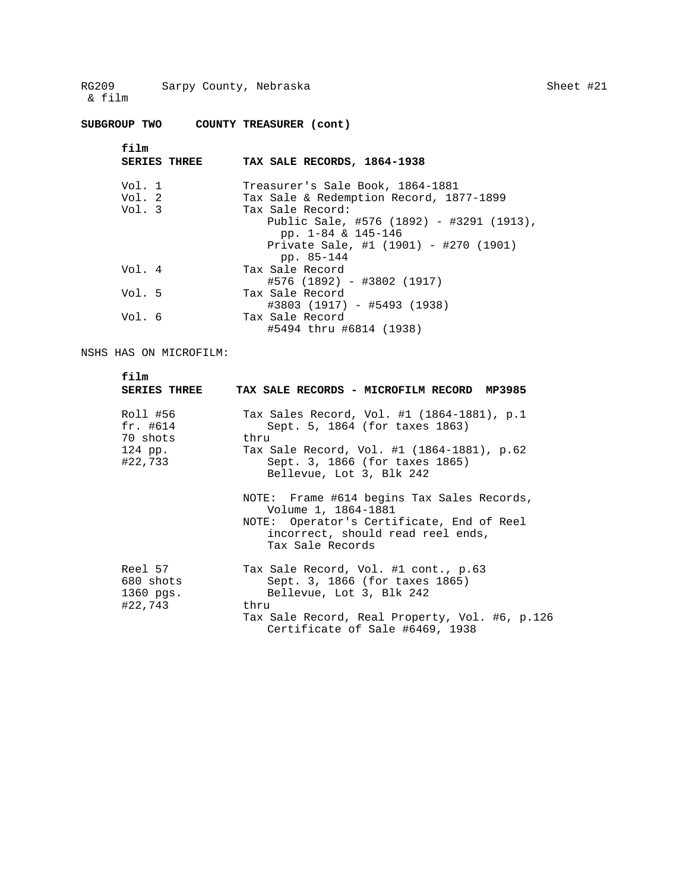**SUBGROUP TWO COUNTY TREASURER (cont)** 

| film<br><b>SERIES THREE</b> | TAX SALE RECORDS, 1864-1938                                                 |
|-----------------------------|-----------------------------------------------------------------------------|
| Vol. 1<br>Vol. 2            | Treasurer's Sale Book, 1864-1881<br>Tax Sale & Redemption Record, 1877-1899 |
| Vol. 3                      | Tax Sale Record:                                                            |
|                             | Public Sale, #576 (1892) - #3291 (1913),<br>pp. $1-84$ & $145-146$          |
|                             | Private Sale, #1 (1901) - #270 (1901)<br>pp. 85-144                         |
| Vol. 4                      | Tax Sale Record<br>#576 (1892) - #3802 (1917)                               |
| Vol. 5                      | Tax Sale Record<br>#3803 (1917) - #5493 (1938)                              |
| Vol. 6                      | Tax Sale Record<br>#5494 thru #6814 (1938)                                  |
|                             |                                                                             |

NSHS HAS ON MICROFILM:

| film<br><b>SERIES THREE</b>                              | TAX SALE RECORDS - MICROFILM RECORD MP3985                                                                                                                                                       |
|----------------------------------------------------------|--------------------------------------------------------------------------------------------------------------------------------------------------------------------------------------------------|
| Roll #56<br>$fr.$ #614<br>70 shots<br>124 pp.<br>#22,733 | Tax Sales Record, Vol. #1 (1864-1881), p.1<br>Sept. 5, 1864 (for taxes 1863)<br>thru<br>Tax Sale Record, Vol. #1 (1864-1881), p.62<br>Sept. 3, 1866 (for taxes 1865)<br>Bellevue, Lot 3, Blk 242 |
|                                                          | NOTE: Frame #614 begins Tax Sales Records,<br>Volume 1, 1864-1881<br>NOTE: Operator's Certificate, End of Reel<br>incorrect, should read reel ends,<br>Tax Sale Records                          |
| Reel 57<br>680 shots<br>$1360$ pqs.<br>#22,743           | Tax Sale Record, Vol. #1 cont., p.63<br>Sept. 3, 1866 (for taxes 1865)<br>Bellevue, Lot 3, Blk 242<br>thru<br>Tax Sale Record, Real Property, Vol. #6, p.126<br>Certificate of Sale #6469, 1938  |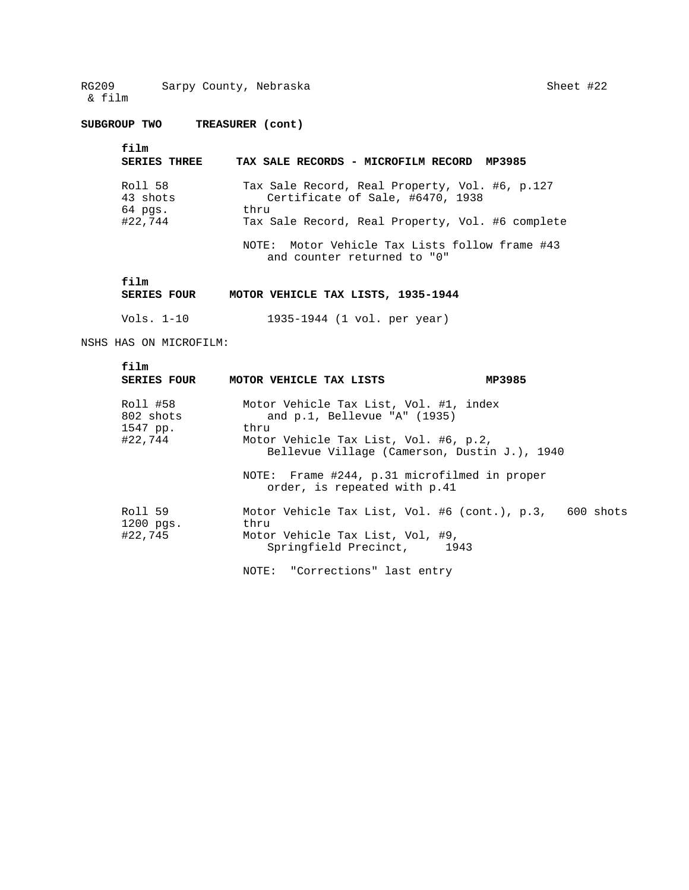**SUBGROUP TWO TREASURER (cont)** 

| film<br><b>SERIES THREE</b> | TAX SALE RECORDS - MICROFILM RECORD MP3985                                         |
|-----------------------------|------------------------------------------------------------------------------------|
|                             |                                                                                    |
| Roll 58<br>43 shots         | Tax Sale Record, Real Property, Vol. #6, p.127<br>Certificate of Sale, #6470, 1938 |
| $64$ pgs.<br>#22,744        | thru                                                                               |
|                             | Tax Sale Record, Real Property, Vol. #6 complete                                   |
|                             | NOTE: Motor Vehicle Tax Lists follow frame #43<br>and counter returned to "0"      |

## **SERIES FOUR MOTOR VEHICLE TAX LISTS, 1935-1944**

Vols. 1-10 1935-1944 (1 vol. per year)

NSHS HAS ON MICROFILM:

| film<br><b>SERIES FOUR</b>                   | MOTOR VEHICLE TAX LISTS                                                                                                                                                    | MP3985                                                  |
|----------------------------------------------|----------------------------------------------------------------------------------------------------------------------------------------------------------------------------|---------------------------------------------------------|
| Roll #58<br>802 shots<br>1547 pp.<br>#22,744 | Motor Vehicle Tax List, Vol. #1, index<br>and $p.1$ , Bellevue "A" (1935)<br>thru<br>Motor Vehicle Tax List, Vol. #6, p.2,<br>Bellevue Village (Camerson, Dustin J.), 1940 |                                                         |
|                                              | NOTE: Frame #244, p.31 microfilmed in proper<br>order, is repeated with p.41                                                                                               |                                                         |
| Roll 59<br>$1200$ $pqs.$<br>#22,745          | thru<br>Motor Vehicle Tax List, Vol, #9,<br>Springfield Precinct, 1943                                                                                                     | Motor Vehicle Tax List, Vol. #6 (cont.), p.3, 600 shots |
|                                              | NOTE: "Corrections" last entry                                                                                                                                             |                                                         |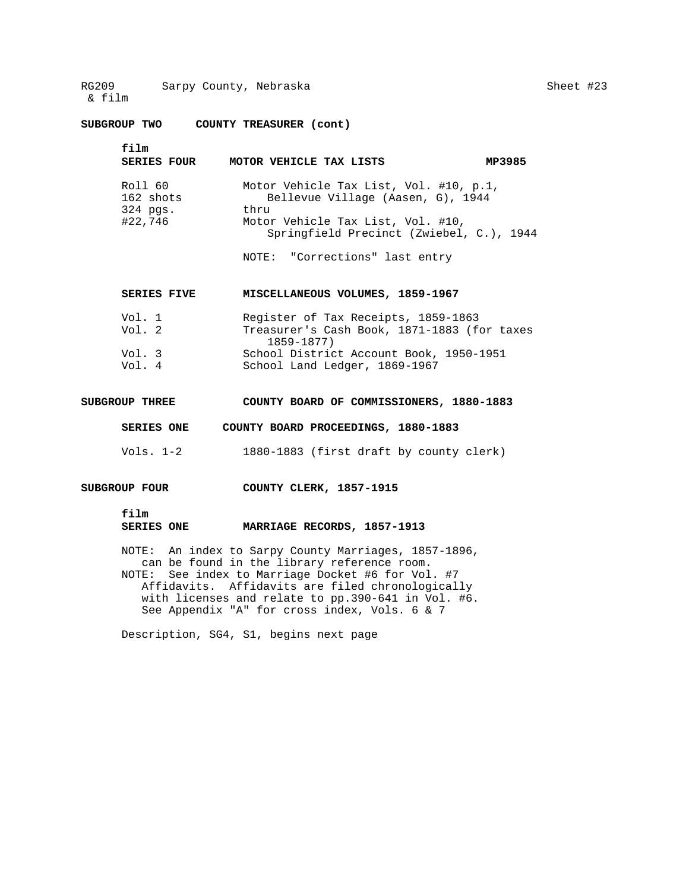**SUBGROUP TWO COUNTY TREASURER (cont)** 

| film<br><b>SERIES FOUR</b>                  | MOTOR VEHICLE TAX LISTS                                                                                                                                              | MP3985 |
|---------------------------------------------|----------------------------------------------------------------------------------------------------------------------------------------------------------------------|--------|
| Roll 60<br>162 shots<br>324 pgs.<br>#22,746 | Motor Vehicle Tax List, Vol. #10, p.1,<br>Bellevue Village (Aasen, G), 1944<br>thru<br>Motor Vehicle Tax List, Vol. #10,<br>Springfield Precinct (Zwiebel, C.), 1944 |        |

NOTE: "Corrections" last entry

| <b>SERIES FIVE</b> | MISCELLANEOUS VOLUMES, 1859-1967                             |
|--------------------|--------------------------------------------------------------|
| Vol. 1             | Register of Tax Receipts, 1859-1863                          |
| Vol. $2$           | Treasurer's Cash Book, 1871-1883 (for taxes<br>$1859 - 1877$ |
| Vol. 3             | School District Account Book, 1950-1951                      |
| Vol. 4             | School Land Ledger, 1869-1967                                |

## **SUBGROUP THREE COUNTY BOARD OF COMMISSIONERS, 1880-1883**

 **SERIES ONE COUNTY BOARD PROCEEDINGS, 1880-1883** 

- Vols. 1-2 1880-1883 (first draft by county clerk)
- **SUBGROUP FOUR COUNTY CLERK, 1857-1915** 
	- **film**

#### **SERIES ONE MARRIAGE RECORDS, 1857-1913**

NOTE: An index to Sarpy County Marriages, 1857-1896, can be found in the library reference room. NOTE: See index to Marriage Docket #6 for Vol. #7 Affidavits. Affidavits are filed chronologically with licenses and relate to pp.390-641 in Vol. #6. See Appendix "A" for cross index, Vols. 6 & 7

Description, SG4, S1, begins next page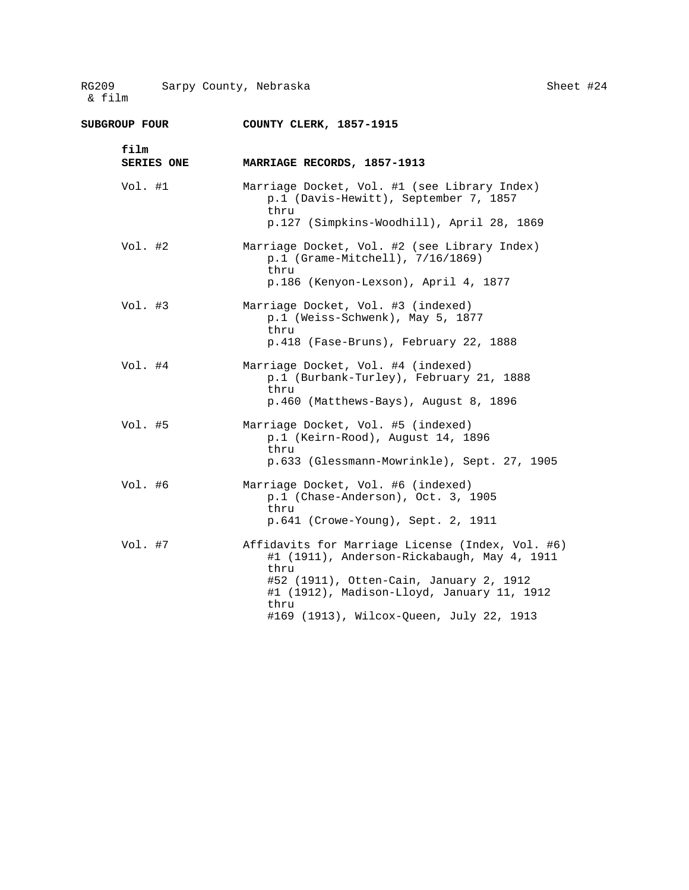| SUBGROUP FOUR             | COUNTY CLERK, 1857-1915                                                                                                                                                                                                                              |
|---------------------------|------------------------------------------------------------------------------------------------------------------------------------------------------------------------------------------------------------------------------------------------------|
| film<br><b>SERIES ONE</b> | MARRIAGE RECORDS, 1857-1913                                                                                                                                                                                                                          |
| Vol. #1                   | Marriage Docket, Vol. #1 (see Library Index)<br>p.1 (Davis-Hewitt), September 7, 1857<br>thru<br>p.127 (Simpkins-Woodhill), April 28, 1869                                                                                                           |
| Vol. #2                   | Marriage Docket, Vol. #2 (see Library Index)<br>p.1 (Grame-Mitchell), 7/16/1869)<br>thru<br>p.186 (Kenyon-Lexson), April 4, 1877                                                                                                                     |
| Vol. #3                   | Marriage Docket, Vol. #3 (indexed)<br>p.1 (Weiss-Schwenk), May 5, 1877<br>thru<br>p.418 (Fase-Bruns), February 22, 1888                                                                                                                              |
| Vol. #4                   | Marriage Docket, Vol. #4 (indexed)<br>p.1 (Burbank-Turley), February 21, 1888<br>thru<br>p.460 (Matthews-Bays), August 8, 1896                                                                                                                       |
| Vol. #5                   | Marriage Docket, Vol. #5 (indexed)<br>p.1 (Keirn-Rood), August 14, 1896<br>thru<br>p.633 (Glessmann-Mowrinkle), Sept. 27, 1905                                                                                                                       |
| Vol. #6                   | Marriage Docket, Vol. #6 (indexed)<br>p.1 (Chase-Anderson), Oct. 3, 1905<br>thru<br>p.641 (Crowe-Young), Sept. 2, 1911                                                                                                                               |
| Vol. #7                   | Affidavits for Marriage License (Index, Vol. #6)<br>#1 (1911), Anderson-Rickabaugh, May 4, 1911<br>thru<br>#52 (1911), Otten-Cain, January 2, 1912<br>#1 (1912), Madison-Lloyd, January 11, 1912<br>thru<br>#169 (1913), Wilcox-Queen, July 22, 1913 |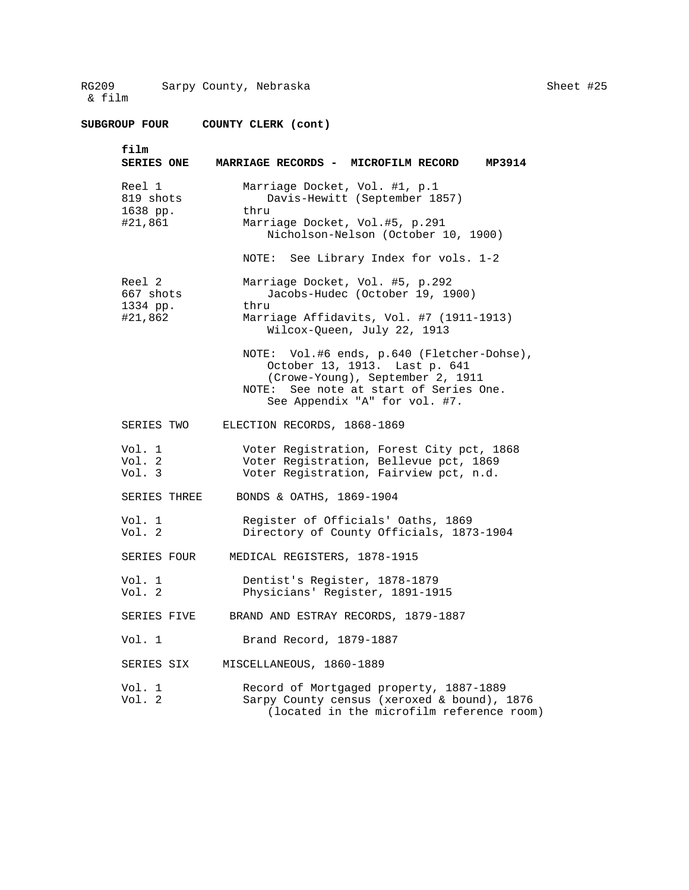| <b>SUBGROUP FOUR</b>                       | COUNTY CLERK (cont)                                                                                                                                                                        |
|--------------------------------------------|--------------------------------------------------------------------------------------------------------------------------------------------------------------------------------------------|
| film<br><b>SERIES ONE</b>                  | MARRIAGE RECORDS - MICROFILM RECORD<br>MP3914                                                                                                                                              |
| Reel 1<br>819 shots<br>1638 pp.<br>#21,861 | Marriage Docket, Vol. #1, p.1<br>Davis-Hewitt (September 1857)<br>thru<br>Marriage Docket, Vol.#5, p.291<br>Nicholson-Nelson (October 10, 1900)                                            |
|                                            | NOTE: See Library Index for vols. 1-2                                                                                                                                                      |
| Reel 2<br>667 shots<br>1334 pp.<br>#21,862 | Marriage Docket, Vol. #5, p.292<br>Jacobs-Hudec (October 19, 1900)<br>thru<br>Marriage Affidavits, Vol. #7 (1911-1913)<br>Wilcox-Queen, July 22, 1913                                      |
|                                            | NOTE: Vol.#6 ends, p.640 (Fletcher-Dohse),<br>October 13, 1913. Last p. 641<br>(Crowe-Young), September 2, 1911<br>NOTE: See note at start of Series One.<br>See Appendix "A" for vol. #7. |
| SERIES TWO                                 | ELECTION RECORDS, 1868-1869                                                                                                                                                                |
| Vol. 1<br>Vol. 2<br>Vol. 3                 | Voter Registration, Forest City pct, 1868<br>Voter Registration, Bellevue pct, 1869<br>Voter Registration, Fairview pct, n.d.                                                              |
| SERIES THREE                               | BONDS & OATHS, 1869-1904                                                                                                                                                                   |
| Vol. 1<br>Vol. 2                           | Register of Officials' Oaths, 1869<br>Directory of County Officials, 1873-1904                                                                                                             |
| SERIES FOUR                                | MEDICAL REGISTERS, 1878-1915                                                                                                                                                               |
| Vol. 1<br>Vol. 2                           | Dentist's Register, 1878-1879<br>Physicians' Register, 1891-1915                                                                                                                           |
| SERIES FIVE                                | BRAND AND ESTRAY RECORDS, 1879-1887                                                                                                                                                        |
| Vol. 1                                     | Brand Record, 1879-1887                                                                                                                                                                    |
| SERIES SIX                                 | MISCELLANEOUS, 1860-1889                                                                                                                                                                   |
| Vol. 1<br>Vol. 2                           | Record of Mortgaged property, 1887-1889<br>Sarpy County census (xeroxed & bound), 1876<br>(located in the microfilm reference room)                                                        |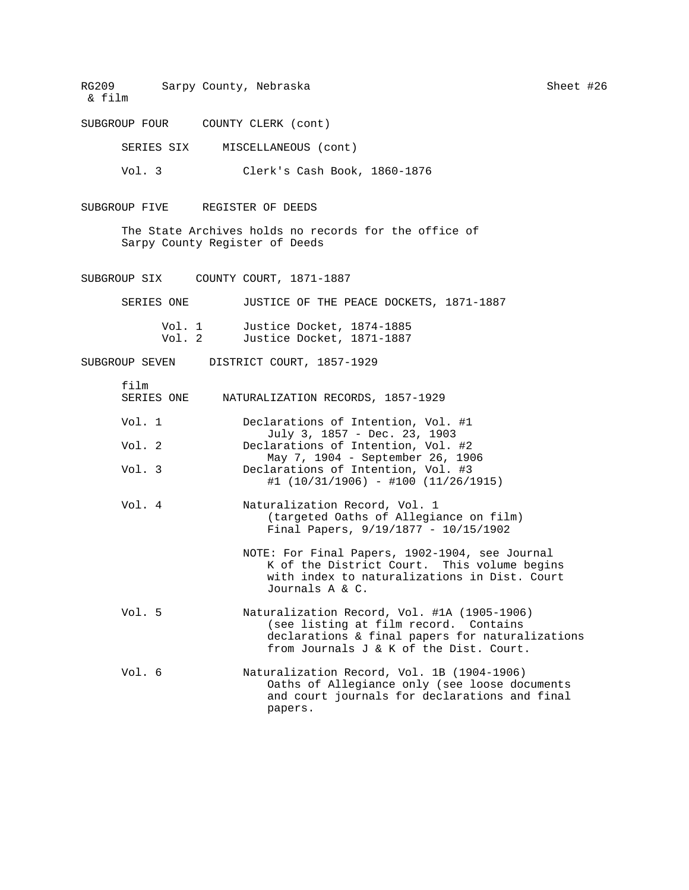SUBGROUP FOUR COUNTY CLERK (cont)

SERIES SIX MISCELLANEOUS (cont)

Vol. 3 Clerk's Cash Book, 1860-1876

SUBGROUP FIVE REGISTER OF DEEDS

The State Archives holds no records for the office of Sarpy County Register of Deeds

SUBGROUP SIX COUNTY COURT, 1871-1887

| SERIES ONE       | JUSTICE OF THE PEACE DOCKETS, 1871-1887                |  |
|------------------|--------------------------------------------------------|--|
| Vol. 1<br>Vol. 2 | Justice Docket, 1874-1885<br>Justice Docket, 1871-1887 |  |

SUBGROUP SEVEN DISTRICT COURT, 1857-1929

| film<br>SERIES ONE | NATURALIZATION RECORDS, 1857-1929                                                                                                                                                  |
|--------------------|------------------------------------------------------------------------------------------------------------------------------------------------------------------------------------|
| Vol. 1             | Declarations of Intention, Vol. #1<br>July 3, 1857 - Dec. 23, 1903                                                                                                                 |
| Vol. 2             | Declarations of Intention, Vol. #2<br>May 7, 1904 - September 26, 1906                                                                                                             |
| Vol. $3$           | Declarations of Intention, Vol. #3<br>$\#1$ (10/31/1906) - $\#100$ (11/26/1915)                                                                                                    |
| Vol. 4             | Naturalization Record, Vol. 1<br>(targeted Oaths of Allegiance on film)<br>Final Papers, $9/19/1877 - 10/15/1902$                                                                  |
|                    | NOTE: For Final Papers, 1902-1904, see Journal<br>K of the District Court. This volume begins<br>with index to naturalizations in Dist. Court<br>Journals A & C.                   |
| Vol.5              | Naturalization Record, Vol. #1A (1905-1906)<br>(see listing at film record. Contains<br>declarations & final papers for naturalizations<br>from Journals J & K of the Dist. Court. |
| Vol.6              | Naturalization Record, Vol. 1B (1904-1906)<br>Oaths of Allegiance only (see loose documents<br>and court journals for declarations and final                                       |

papers.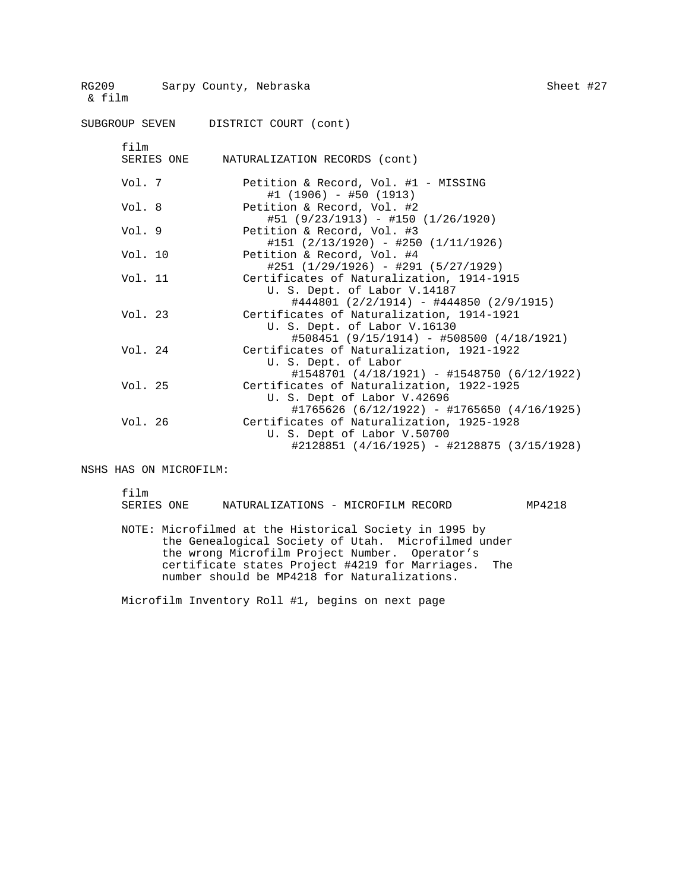| RG209 NG<br>& film | Sarpy County, Nebraska                                                                                                        | Sheet #27 |  |
|--------------------|-------------------------------------------------------------------------------------------------------------------------------|-----------|--|
|                    | SUBGROUP SEVEN DISTRICT COURT (cont)                                                                                          |           |  |
| film<br>SERIES ONE | NATURALIZATION RECORDS (cont)                                                                                                 |           |  |
| Vol. 7             | Petition & Record, Vol. #1 - MISSING<br>$#1$ (1906) - #50 (1913)                                                              |           |  |
| Vol. 8             | Petition & Record, Vol. #2<br>$#51 (9/23/1913) - #150 (1/26/1920)$                                                            |           |  |
| Vol. 9             | Petition & Record, Vol. #3<br>$\#151$ (2/13/1920) - $\#250$ (1/11/1926)                                                       |           |  |
| Vol. 10            | Petition & Record, Vol. #4<br>$\#251$ (1/29/1926) - $\#291$ (5/27/1929)                                                       |           |  |
| Vol. 11            | Certificates of Naturalization, 1914-1915<br>U. S. Dept. of Labor V.14187<br>$\#444801$ (2/2/1914) - $\#444850$ (2/9/1915)    |           |  |
| Vol. 23            | Certificates of Naturalization, 1914-1921<br>U. S. Dept. of Labor V.16130<br>$\#508451$ (9/15/1914) - #508500 (4/18/1921)     |           |  |
| Vol. 24            | Certificates of Naturalization, 1921-1922<br>U. S. Dept. of Labor<br>$\#1548701$ (4/18/1921) - $\#1548750$ (6/12/1922)        |           |  |
| Vol. 25            | Certificates of Naturalization, 1922-1925<br>U. S. Dept of Labor V.42696<br>$\#1765626$ (6/12/1922) - $\#1765650$ (4/16/1925) |           |  |
| Vol. 26            | Certificates of Naturalization, 1925-1928<br>U. S. Dept of Labor V.50700<br>#2128851 (4/16/1925) - #2128875 (3/15/1928)       |           |  |

NSHS HAS ON MICROFILM:

film

| SERIES ONE | NATURALIZATIONS - MICROFILM RECORD                     |  |  | MP4218 |
|------------|--------------------------------------------------------|--|--|--------|
|            |                                                        |  |  |        |
|            | NOTE: Microfilmed at the Historical Society in 1995 by |  |  |        |
|            | the Genealogical Society of Utah. Microfilmed under    |  |  |        |
|            | the wrong Microfilm Project Number. Operator's         |  |  |        |
|            | certificate states Project #4219 for Marriages. The    |  |  |        |

Microfilm Inventory Roll #1, begins on next page

number should be MP4218 for Naturalizations.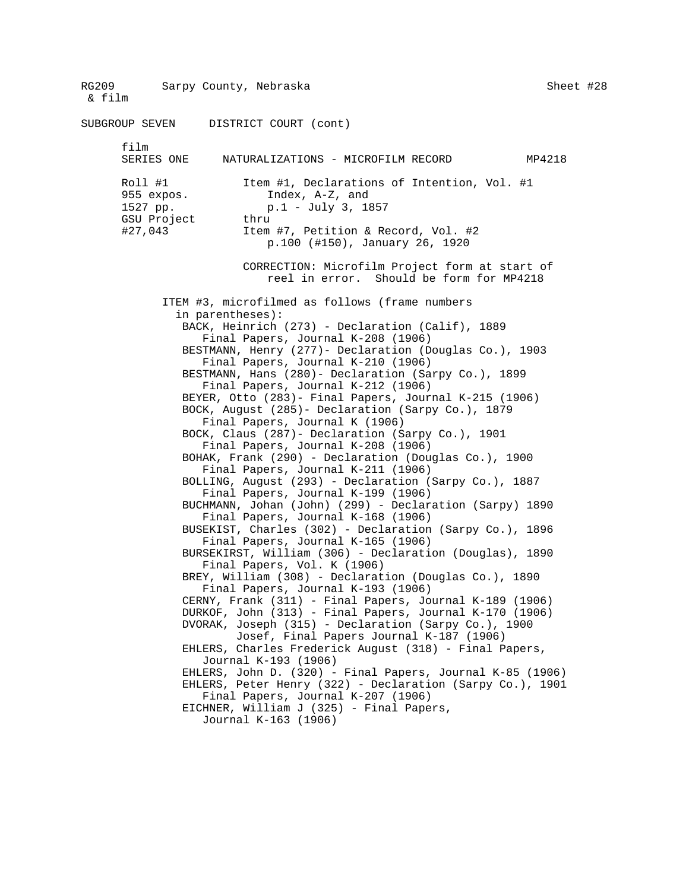RG209 Sarpy County, Nebraska & film Sheet #28 SUBGROUP SEVEN DISTRICT COURT (cont) film<br>SERIES ONE NATURALIZATIONS - MICROFILM RECORD MP4218 Roll #1 Item #1, Declarations of Intention, Vol. #1 955 expos. Index, A-Z, and 1527 pp. (1) p.1 - July 3, 1857 GSU Project thru #27,043 Item #7, Petition & Record, Vol. #2 p.100 (#150), January 26, 1920 CORRECTION: Microfilm Project form at start of reel in error. Should be form for MP4218 ITEM #3, microfilmed as follows (frame numbers in parentheses): BACK, Heinrich (273) - Declaration (Calif), 1889 Final Papers, Journal K-208 (1906) BESTMANN, Henry (277)- Declaration (Douglas Co.), 1903 Final Papers, Journal K-210 (1906) BESTMANN, Hans (280)- Declaration (Sarpy Co.), 1899 Final Papers, Journal K-212 (1906) BEYER, Otto (283)- Final Papers, Journal K-215 (1906) BOCK, August (285)- Declaration (Sarpy Co.), 1879 Final Papers, Journal K (1906) BOCK, Claus (287)- Declaration (Sarpy Co.), 1901 Final Papers, Journal K-208 (1906) BOHAK, Frank (290) - Declaration (Douglas Co.), 1900 Final Papers, Journal K-211 (1906) BOLLING, August (293) - Declaration (Sarpy Co.), 1887 Final Papers, Journal K-199 (1906) BUCHMANN, Johan (John) (299) - Declaration (Sarpy) 1890 Final Papers, Journal K-168 (1906) BUSEKIST, Charles (302) - Declaration (Sarpy Co.), 1896 Final Papers, Journal K-165 (1906) BURSEKIRST, William (306) - Declaration (Douglas), 1890 Final Papers, Vol. K (1906) BREY, William (308) - Declaration (Douglas Co.), 1890 Final Papers, Journal K-193 (1906) CERNY, Frank (311) - Final Papers, Journal K-189 (1906) DURKOF, John (313) - Final Papers, Journal K-170 (1906) DVORAK, Joseph (315) - Declaration (Sarpy Co.), 1900 Josef, Final Papers Journal K-187 (1906) EHLERS, Charles Frederick August (318) - Final Papers, Journal K-193 (1906) EHLERS, John D. (320) - Final Papers, Journal K-85 (1906) EHLERS, Peter Henry (322) - Declaration (Sarpy Co.), 1901 Final Papers, Journal K-207 (1906) EICHNER, William J (325) - Final Papers, Journal K-163 (1906)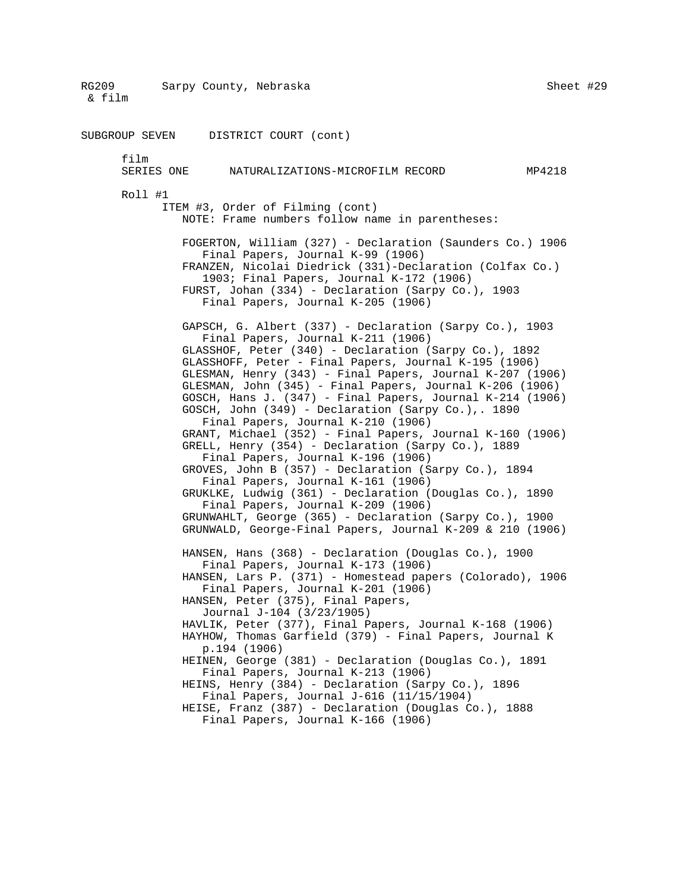RG209 Sarpy County, Nebraska & film Sheet #29 SUBGROUP SEVEN DISTRICT COURT (cont) film SERIES ONE NATURALIZATIONS-MICROFILM RECORD MP4218 Roll #1 ITEM #3, Order of Filming (cont) NOTE: Frame numbers follow name in parentheses: FOGERTON, William (327) - Declaration (Saunders Co.) 1906 Final Papers, Journal K-99 (1906) FRANZEN, Nicolai Diedrick (331)-Declaration (Colfax Co.) 1903; Final Papers, Journal K-172 (1906) FURST, Johan (334) - Declaration (Sarpy Co.), 1903 Final Papers, Journal K-205 (1906) GAPSCH, G. Albert (337) - Declaration (Sarpy Co.), 1903 Final Papers, Journal K-211 (1906) GLASSHOF, Peter (340) - Declaration (Sarpy Co.), 1892 GLASSHOFF, Peter - Final Papers, Journal K-195 (1906) GLESMAN, Henry (343) - Final Papers, Journal K-207 (1906) GLESMAN, John (345) - Final Papers, Journal K-206 (1906) GOSCH, Hans J. (347) - Final Papers, Journal K-214 (1906) GOSCH, John (349) - Declaration (Sarpy Co.),. 1890 Final Papers, Journal K-210 (1906) GRANT, Michael (352) - Final Papers, Journal K-160 (1906) GRELL, Henry (354) - Declaration (Sarpy Co.), 1889 Final Papers, Journal K-196 (1906) GROVES, John B (357) - Declaration (Sarpy Co.), 1894 Final Papers, Journal K-161 (1906) GRUKLKE, Ludwig (361) - Declaration (Douglas Co.), 1890 Final Papers, Journal K-209 (1906) GRUNWAHLT, George (365) - Declaration (Sarpy Co.), 1900 GRUNWALD, George-Final Papers, Journal K-209 & 210 (1906) HANSEN, Hans (368) - Declaration (Douglas Co.), 1900 Final Papers, Journal K-173 (1906) HANSEN, Lars P. (371) - Homestead papers (Colorado), 1906 Final Papers, Journal K-201 (1906) HANSEN, Peter (375), Final Papers, Journal J-104 (3/23/1905) HAVLIK, Peter (377), Final Papers, Journal K-168 (1906) HAYHOW, Thomas Garfield (379) - Final Papers, Journal K p.194 (1906) HEINEN, George (381) - Declaration (Douglas Co.), 1891 Final Papers, Journal K-213 (1906) HEINS, Henry (384) - Declaration (Sarpy Co.), 1896 Final Papers, Journal J-616 (11/15/1904) HEISE, Franz (387) - Declaration (Douglas Co.), 1888 Final Papers, Journal K-166 (1906)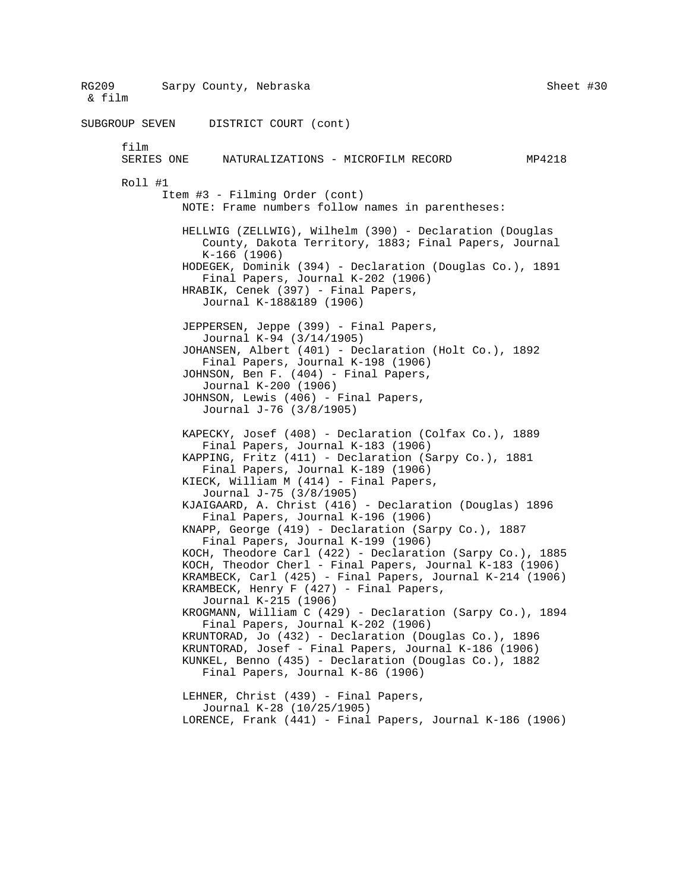RG209 Sarpy County, Nebraska & film Sheet #30 SUBGROUP SEVEN DISTRICT COURT (cont) film<br>SERIES ONE NATURALIZATIONS - MICROFILM RECORD MP4218 Roll #1 Item #3 - Filming Order (cont) NOTE: Frame numbers follow names in parentheses: HELLWIG (ZELLWIG), Wilhelm (390) - Declaration (Douglas County, Dakota Territory, 1883; Final Papers, Journal K-166 (1906) HODEGEK, Dominik (394) - Declaration (Douglas Co.), 1891 Final Papers, Journal K-202 (1906) HRABIK, Cenek (397) - Final Papers, Journal K-188&189 (1906) JEPPERSEN, Jeppe (399) - Final Papers, Journal K-94 (3/14/1905) JOHANSEN, Albert (401) - Declaration (Holt Co.), 1892 Final Papers, Journal K-198 (1906) JOHNSON, Ben F. (404) - Final Papers, Journal K-200 (1906) JOHNSON, Lewis (406) - Final Papers, Journal J-76 (3/8/1905) KAPECKY, Josef (408) - Declaration (Colfax Co.), 1889 Final Papers, Journal K-183 (1906) KAPPING, Fritz (411) - Declaration (Sarpy Co.), 1881 Final Papers, Journal K-189 (1906) KIECK, William M (414) - Final Papers, Journal J-75 (3/8/1905) KJAIGAARD, A. Christ (416) - Declaration (Douglas) 1896 Final Papers, Journal K-196 (1906) KNAPP, George (419) - Declaration (Sarpy Co.), 1887 Final Papers, Journal K-199 (1906) KOCH, Theodore Carl (422) - Declaration (Sarpy Co.), 1885 KOCH, Theodor Cherl - Final Papers, Journal K-183 (1906) KRAMBECK, Carl (425) - Final Papers, Journal K-214 (1906) KRAMBECK, Henry  $F(427)$  - Final Papers, Journal K-215 (1906) KROGMANN, William C (429) - Declaration (Sarpy Co.), 1894 Final Papers, Journal K-202 (1906) KRUNTORAD, Jo (432) - Declaration (Douglas Co.), 1896 KRUNTORAD, Josef - Final Papers, Journal K-186 (1906) KUNKEL, Benno (435) - Declaration (Douglas Co.), 1882 Final Papers, Journal K-86 (1906) LEHNER, Christ (439) - Final Papers, Journal K-28 (10/25/1905) LORENCE, Frank (441) - Final Papers, Journal K-186 (1906)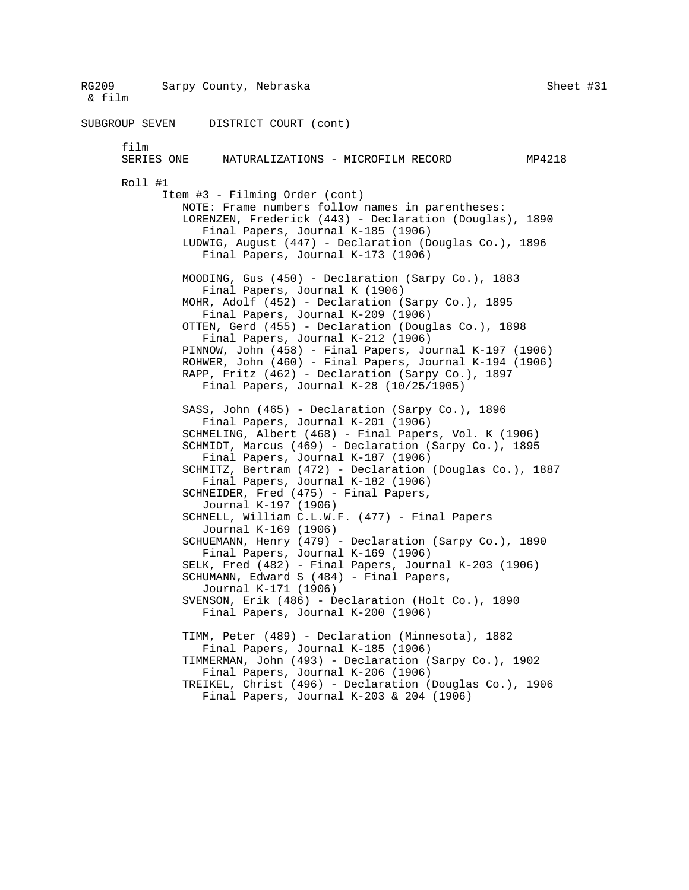RG209 Sarpy County, Nebraska & film Sheet #31 SUBGROUP SEVEN DISTRICT COURT (cont) film<br>SERIES ONE NATURALIZATIONS - MICROFILM RECORD MP4218 Roll #1 Item #3 - Filming Order (cont) NOTE: Frame numbers follow names in parentheses: LORENZEN, Frederick (443) - Declaration (Douglas), 1890 Final Papers, Journal K-185 (1906) LUDWIG, August (447) - Declaration (Douglas Co.), 1896 Final Papers, Journal K-173 (1906) MOODING, Gus (450) - Declaration (Sarpy Co.), 1883 Final Papers, Journal K (1906) MOHR, Adolf (452) - Declaration (Sarpy Co.), 1895 Final Papers, Journal K-209 (1906) OTTEN, Gerd (455) - Declaration (Douglas Co.), 1898 Final Papers, Journal K-212 (1906) PINNOW, John (458) - Final Papers, Journal K-197 (1906) ROHWER, John (460) - Final Papers, Journal K-194 (1906) RAPP, Fritz (462) - Declaration (Sarpy Co.), 1897 Final Papers, Journal K-28 (10/25/1905) SASS, John (465) - Declaration (Sarpy Co.), 1896 Final Papers, Journal K-201 (1906) SCHMELING, Albert (468) - Final Papers, Vol. K (1906) SCHMIDT, Marcus (469) - Declaration (Sarpy Co.), 1895 Final Papers, Journal K-187 (1906) SCHMITZ, Bertram (472) - Declaration (Douglas Co.), 1887 Final Papers, Journal K-182 (1906) SCHNEIDER, Fred (475) - Final Papers, Journal K-197 (1906) SCHNELL, William C.L.W.F. (477) - Final Papers Journal K-169 (1906) SCHUEMANN, Henry (479) - Declaration (Sarpy Co.), 1890 Final Papers, Journal K-169 (1906) SELK, Fred (482) - Final Papers, Journal K-203 (1906) SCHUMANN, Edward S (484) - Final Papers, Journal K-171 (1906) SVENSON, Erik (486) - Declaration (Holt Co.), 1890 Final Papers, Journal K-200 (1906) TIMM, Peter (489) - Declaration (Minnesota), 1882 Final Papers, Journal K-185 (1906) TIMMERMAN, John (493) - Declaration (Sarpy Co.), 1902 Final Papers, Journal K-206 (1906) TREIKEL, Christ (496) - Declaration (Douglas Co.), 1906 Final Papers, Journal K-203 & 204 (1906)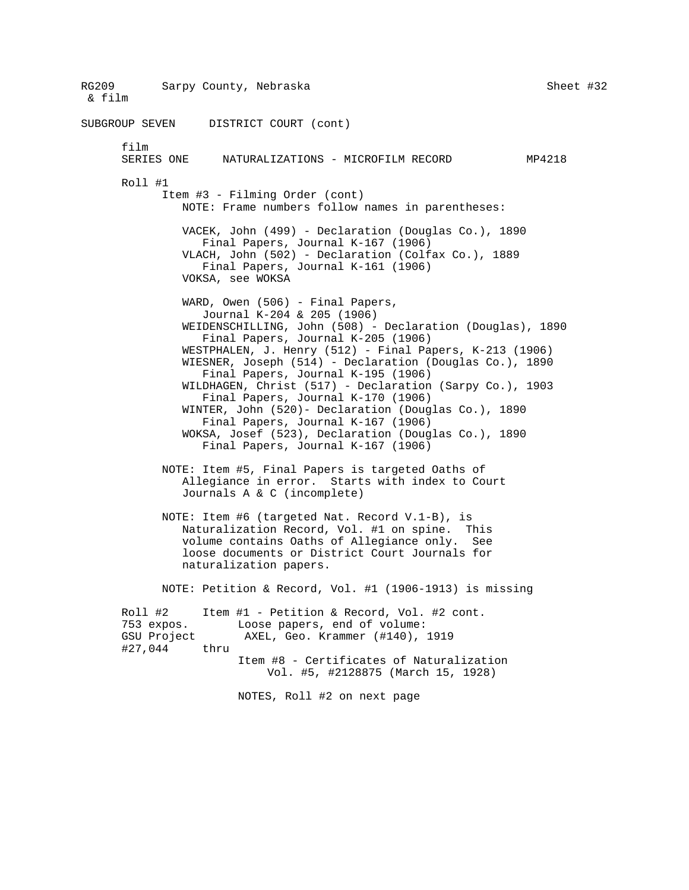RG209 Sarpy County, Nebraska & film Sheet #32 SUBGROUP SEVEN DISTRICT COURT (cont) film<br>SERIES ONE NATURALIZATIONS - MICROFILM RECORD MP4218 Roll #1 Item #3 - Filming Order (cont) NOTE: Frame numbers follow names in parentheses: VACEK, John (499) - Declaration (Douglas Co.), 1890 Final Papers, Journal K-167 (1906) VLACH, John (502) - Declaration (Colfax Co.), 1889 Final Papers, Journal K-161 (1906) VOKSA, see WOKSA WARD, Owen (506) - Final Papers, Journal K-204 & 205 (1906) WEIDENSCHILLING, John (508) - Declaration (Douglas), 1890 Final Papers, Journal K-205 (1906) WESTPHALEN, J. Henry (512) - Final Papers, K-213 (1906) WIESNER, Joseph (514) - Declaration (Douglas Co.), 1890 Final Papers, Journal K-195 (1906) WILDHAGEN, Christ (517) - Declaration (Sarpy Co.), 1903 Final Papers, Journal K-170 (1906) WINTER, John (520)- Declaration (Douglas Co.), 1890 Final Papers, Journal K-167 (1906) WOKSA, Josef (523), Declaration (Douglas Co.), 1890 Final Papers, Journal K-167 (1906) NOTE: Item #5, Final Papers is targeted Oaths of Allegiance in error. Starts with index to Court Journals A & C (incomplete) NOTE: Item #6 (targeted Nat. Record V.1-B), is Naturalization Record, Vol. #1 on spine. This volume contains Oaths of Allegiance only. See loose documents or District Court Journals for naturalization papers. NOTE: Petition & Record, Vol. #1 (1906-1913) is missing Roll #2 Item #1 - Petition & Record, Vol. #2 cont. 753 expos. Loose papers, end of volume: GSU Project AXEL, Geo. Krammer (#140), 1919 #27,044 thru Item #8 - Certificates of Naturalization Vol. #5, #2128875 (March 15, 1928) NOTES, Roll #2 on next page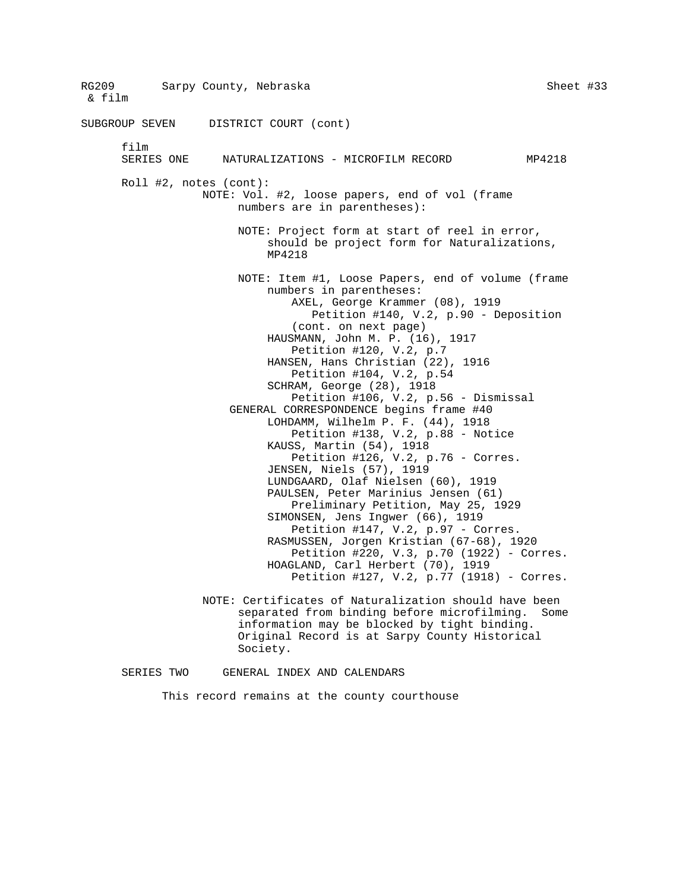RG209 Sarpy County, Nebraska & film Sheet #33 SUBGROUP SEVEN DISTRICT COURT (cont) film<br>SERIES ONE NATURALIZATIONS - MICROFILM RECORD MP4218 Roll #2, notes (cont): NOTE: Vol. #2, loose papers, end of vol (frame numbers are in parentheses): NOTE: Project form at start of reel in error, should be project form for Naturalizations, MP4218 NOTE: Item #1, Loose Papers, end of volume (frame numbers in parentheses: AXEL, George Krammer (08), 1919 Petition #140, V.2, p.90 - Deposition (cont. on next page) HAUSMANN, John M. P. (16), 1917 Petition #120, V.2, p.7 HANSEN, Hans Christian (22), 1916 Petition #104, V.2, p.54 SCHRAM, George (28), 1918 Petition #106, V.2, p.56 - Dismissal GENERAL CORRESPONDENCE begins frame #40 LOHDAMM, Wilhelm P. F. (44), 1918 Petition #138, V.2, p.88 - Notice KAUSS, Martin (54), 1918 Petition #126, V.2, p.76 - Corres. JENSEN, Niels (57), 1919 LUNDGAARD, Olaf Nielsen (60), 1919 PAULSEN, Peter Marinius Jensen (61) Preliminary Petition, May 25, 1929 SIMONSEN, Jens Ingwer (66), 1919 Petition #147, V.2, p.97 - Corres. RASMUSSEN, Jorgen Kristian (67-68), 1920 Petition #220, V.3, p.70 (1922) - Corres. HOAGLAND, Carl Herbert (70), 1919 Petition #127, V.2, p.77 (1918) - Corres. NOTE: Certificates of Naturalization should have been separated from binding before microfilming. Some information may be blocked by tight binding. Original Record is at Sarpy County Historical Society. SERIES TWO GENERAL INDEX AND CALENDARS

This record remains at the county courthouse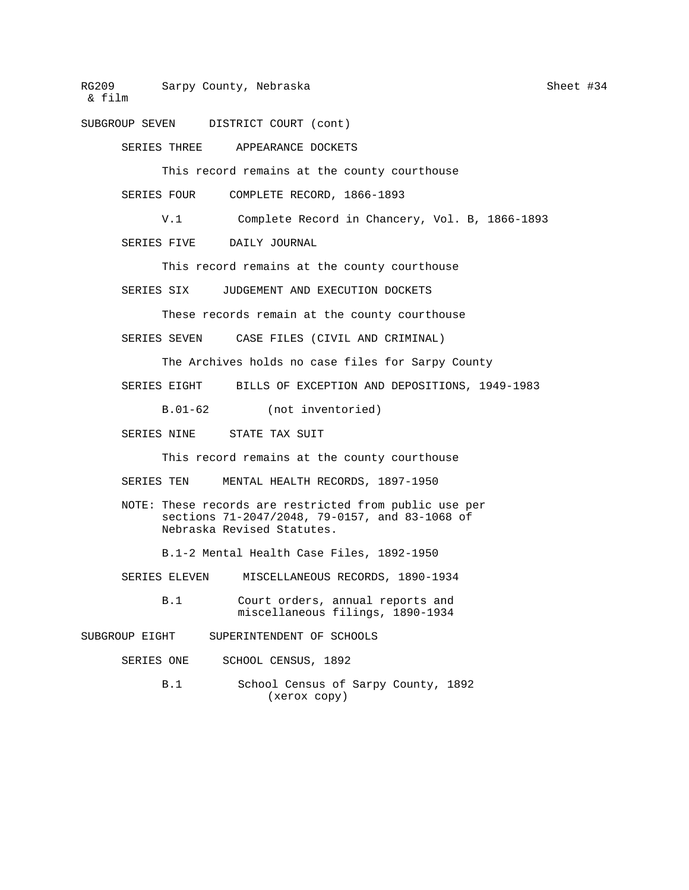SUBGROUP SEVEN DISTRICT COURT (cont)

SERIES THREE APPEARANCE DOCKETS

This record remains at the county courthouse

SERIES FOUR COMPLETE RECORD, 1866-1893

V.1 Complete Record in Chancery, Vol. B, 1866-1893

SERIES FIVE DAILY JOURNAL

This record remains at the county courthouse

SERIES SIX JUDGEMENT AND EXECUTION DOCKETS

These records remain at the county courthouse

SERIES SEVEN CASE FILES (CIVIL AND CRIMINAL)

The Archives holds no case files for Sarpy County

SERIES EIGHT BILLS OF EXCEPTION AND DEPOSITIONS, 1949-1983

B.01-62 (not inventoried)

SERIES NINE STATE TAX SUIT

This record remains at the county courthouse

SERIES TEN MENTAL HEALTH RECORDS, 1897-1950

NOTE: These records are restricted from public use per sections 71-2047/2048, 79-0157, and 83-1068 of Nebraska Revised Statutes.

B.1-2 Mental Health Case Files, 1892-1950

SERIES ELEVEN MISCELLANEOUS RECORDS, 1890-1934

B.1 Court orders, annual reports and miscellaneous filings, 1890-1934

SUBGROUP EIGHT SUPERINTENDENT OF SCHOOLS

- SERIES ONE SCHOOL CENSUS, 1892
	- B.1 School Census of Sarpy County, 1892 (xerox copy)